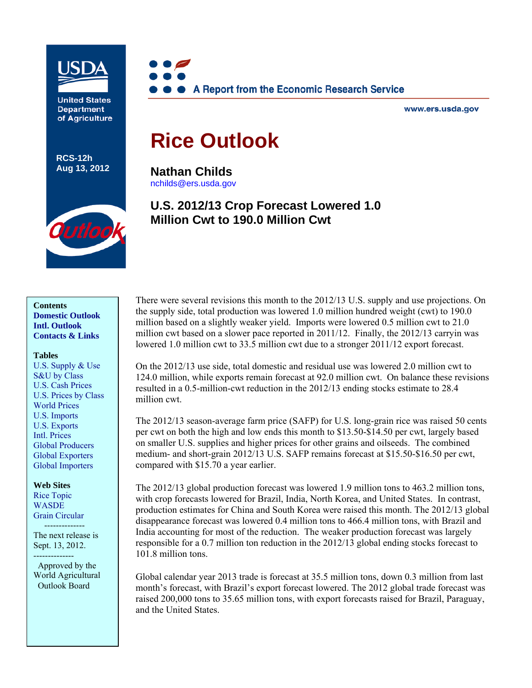

**United States Department** of Agriculture

**RCS-12h Aug 13, 2012**



www.ers.usda.gov

# **Rice Outlook**

**Nathan Childs**  [nchilds@ers.usda.gov](mailto:nchilds@ers.usda.gov) 

## **U.S. 2012/13 Crop Forecast Lowered 1.0 Million Cwt to 190.0 Million Cwt**



#### **Tables**

[U.S. Supply & Use](#page-16-0)  [S&U by Class](#page-17-0)  [U.S. Cash Prices](#page-18-0)  [U.S. Prices by Class](#page-19-0)  [World Prices](#page-20-0)  [U.S. Imports](#page-21-0)  [U.S. Exports](#page-22-0)  [Intl. Prices](#page-23-0)  [Global Producers](#page-24-0)  [Global Exporters](#page-25-0)  [Global Importers](#page-26-0) 

**Web Sites**  [Rice Topic](http://www.ers.usda.gov/topics/crops/rice.aspx)  **WASDE** [Grain Circular](http://www.fas.usda.gov/grain_arc.asp) 

 -------------- The next release is Sept. 13, 2012. --------------

 Approved by the World Agricultural Outlook Board

There were several revisions this month to the 2012/13 U.S. supply and use projections. On the supply side, total production was lowered 1.0 million hundred weight (cwt) to 190.0 million based on a slightly weaker yield. Imports were lowered 0.5 million cwt to 21.0 million cwt based on a slower pace reported in 2011/12. Finally, the 2012/13 carryin was lowered 1.0 million cwt to 33.5 million cwt due to a stronger 2011/12 export forecast.

On the 2012/13 use side, total domestic and residual use was lowered 2.0 million cwt to 124.0 million, while exports remain forecast at 92.0 million cwt. On balance these revisions resulted in a 0.5-million-cwt reduction in the 2012/13 ending stocks estimate to 28.4 million cwt.

The 2012/13 season-average farm price (SAFP) for U.S. long-grain rice was raised 50 cents per cwt on both the high and low ends this month to \$13.50-\$14.50 per cwt, largely based on smaller U.S. supplies and higher prices for other grains and oilseeds. The combined medium- and short-grain 2012/13 U.S. SAFP remains forecast at \$15.50-\$16.50 per cwt, compared with \$15.70 a year earlier.

The 2012/13 global production forecast was lowered 1.9 million tons to 463.2 million tons, with crop forecasts lowered for Brazil, India, North Korea, and United States. In contrast, production estimates for China and South Korea were raised this month. The 2012/13 global disappearance forecast was lowered 0.4 million tons to 466.4 million tons, with Brazil and India accounting for most of the reduction. The weaker production forecast was largely responsible for a 0.7 million ton reduction in the 2012/13 global ending stocks forecast to 101.8 million tons.

Global calendar year 2013 trade is forecast at 35.5 million tons, down 0.3 million from last month's forecast, with Brazil's export forecast lowered. The 2012 global trade forecast was raised 200,000 tons to 35.65 million tons, with export forecasts raised for Brazil, Paraguay, and the United States.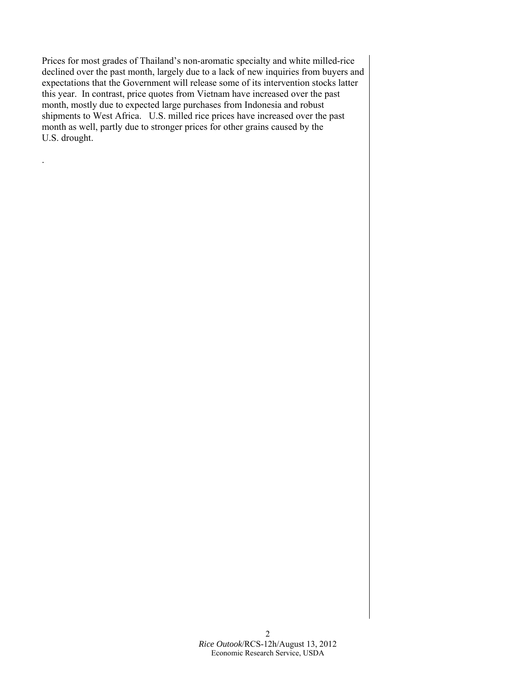Prices for most grades of Thailand's non-aromatic specialty and white milled-rice declined over the past month, largely due to a lack of new inquiries from buyers and expectations that the Government will release some of its intervention stocks latter this year. In contrast, price quotes from Vietnam have increased over the past month, mostly due to expected large purchases from Indonesia and robust shipments to West Africa. U.S. milled rice prices have increased over the past month as well, partly due to stronger prices for other grains caused by the U.S. drought.

.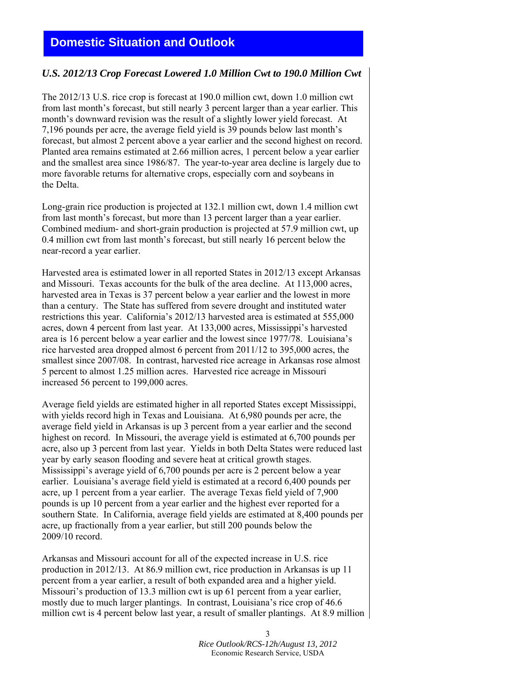## <span id="page-2-0"></span>**Domestic Situation and Outlook**

### *U.S. 2012/13 Crop Forecast Lowered 1.0 Million Cwt to 190.0 Million Cwt*

The 2012/13 U.S. rice crop is forecast at 190.0 million cwt, down 1.0 million cwt from last month's forecast, but still nearly 3 percent larger than a year earlier. This month's downward revision was the result of a slightly lower yield forecast. At 7,196 pounds per acre, the average field yield is 39 pounds below last month's forecast, but almost 2 percent above a year earlier and the second highest on record. Planted area remains estimated at 2.66 million acres, 1 percent below a year earlier and the smallest area since 1986/87. The year-to-year area decline is largely due to more favorable returns for alternative crops, especially corn and soybeans in the Delta.

Long-grain rice production is projected at 132.1 million cwt, down 1.4 million cwt from last month's forecast, but more than 13 percent larger than a year earlier. Combined medium- and short-grain production is projected at 57.9 million cwt, up 0.4 million cwt from last month's forecast, but still nearly 16 percent below the near-record a year earlier.

Harvested area is estimated lower in all reported States in 2012/13 except Arkansas and Missouri. Texas accounts for the bulk of the area decline. At 113,000 acres, harvested area in Texas is 37 percent below a year earlier and the lowest in more than a century. The State has suffered from severe drought and instituted water restrictions this year. California's 2012/13 harvested area is estimated at 555,000 acres, down 4 percent from last year. At 133,000 acres, Mississippi's harvested area is 16 percent below a year earlier and the lowest since 1977/78. Louisiana's rice harvested area dropped almost 6 percent from 2011/12 to 395,000 acres, the smallest since 2007/08. In contrast, harvested rice acreage in Arkansas rose almost 5 percent to almost 1.25 million acres. Harvested rice acreage in Missouri increased 56 percent to 199,000 acres.

Average field yields are estimated higher in all reported States except Mississippi, with yields record high in Texas and Louisiana. At 6,980 pounds per acre, the average field yield in Arkansas is up 3 percent from a year earlier and the second highest on record. In Missouri, the average yield is estimated at 6,700 pounds per acre, also up 3 percent from last year. Yields in both Delta States were reduced last year by early season flooding and severe heat at critical growth stages. Mississippi's average yield of 6,700 pounds per acre is 2 percent below a year earlier. Louisiana's average field yield is estimated at a record 6,400 pounds per acre, up 1 percent from a year earlier. The average Texas field yield of 7,900 pounds is up 10 percent from a year earlier and the highest ever reported for a southern State. In California, average field yields are estimated at 8,400 pounds per acre, up fractionally from a year earlier, but still 200 pounds below the 2009/10 record.

Arkansas and Missouri account for all of the expected increase in U.S. rice production in 2012/13. At 86.9 million cwt, rice production in Arkansas is up 11 percent from a year earlier, a result of both expanded area and a higher yield. Missouri's production of 13.3 million cwt is up 61 percent from a year earlier, mostly due to much larger plantings. In contrast, Louisiana's rice crop of 46.6 million cwt is 4 percent below last year, a result of smaller plantings. At 8.9 million

> 3 *Rice Outlook/RCS-12h/August 13, 2012* Economic Research Service, USDA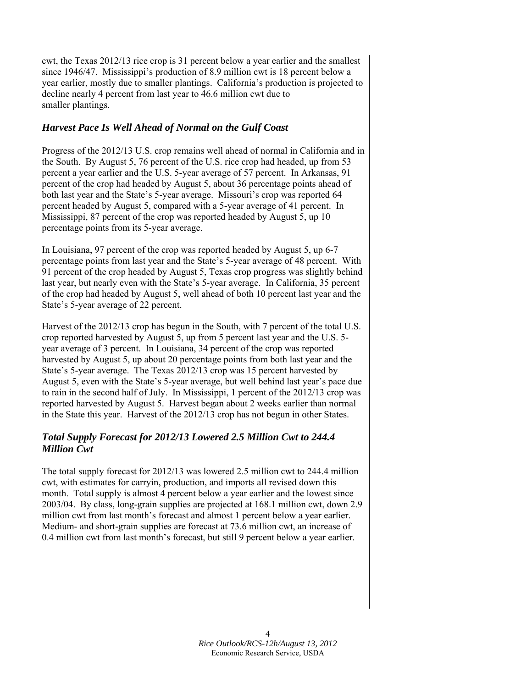cwt, the Texas 2012/13 rice crop is 31 percent below a year earlier and the smallest since 1946/47. Mississippi's production of 8.9 million cwt is 18 percent below a year earlier, mostly due to smaller plantings. California's production is projected to decline nearly 4 percent from last year to 46.6 million cwt due to smaller plantings.

## *Harvest Pace Is Well Ahead of Normal on the Gulf Coast*

Progress of the 2012/13 U.S. crop remains well ahead of normal in California and in the South. By August 5, 76 percent of the U.S. rice crop had headed, up from 53 percent a year earlier and the U.S. 5-year average of 57 percent. In Arkansas, 91 percent of the crop had headed by August 5, about 36 percentage points ahead of both last year and the State's 5-year average. Missouri's crop was reported 64 percent headed by August 5, compared with a 5-year average of 41 percent. In Mississippi, 87 percent of the crop was reported headed by August 5, up 10 percentage points from its 5-year average.

In Louisiana, 97 percent of the crop was reported headed by August 5, up 6-7 percentage points from last year and the State's 5-year average of 48 percent. With 91 percent of the crop headed by August 5, Texas crop progress was slightly behind last year, but nearly even with the State's 5-year average. In California, 35 percent of the crop had headed by August 5, well ahead of both 10 percent last year and the State's 5-year average of 22 percent.

Harvest of the 2012/13 crop has begun in the South, with 7 percent of the total U.S. crop reported harvested by August 5, up from 5 percent last year and the U.S. 5 year average of 3 percent. In Louisiana, 34 percent of the crop was reported harvested by August 5, up about 20 percentage points from both last year and the State's 5-year average. The Texas 2012/13 crop was 15 percent harvested by August 5, even with the State's 5-year average, but well behind last year's pace due to rain in the second half of July. In Mississippi, 1 percent of the 2012/13 crop was reported harvested by August 5. Harvest began about 2 weeks earlier than normal in the State this year. Harvest of the 2012/13 crop has not begun in other States.

## *Total Supply Forecast for 2012/13 Lowered 2.5 Million Cwt to 244.4 Million Cwt*

The total supply forecast for 2012/13 was lowered 2.5 million cwt to 244.4 million cwt, with estimates for carryin, production, and imports all revised down this month. Total supply is almost 4 percent below a year earlier and the lowest since 2003/04. By class, long-grain supplies are projected at 168.1 million cwt, down 2.9 million cwt from last month's forecast and almost 1 percent below a year earlier. Medium- and short-grain supplies are forecast at 73.6 million cwt, an increase of 0.4 million cwt from last month's forecast, but still 9 percent below a year earlier.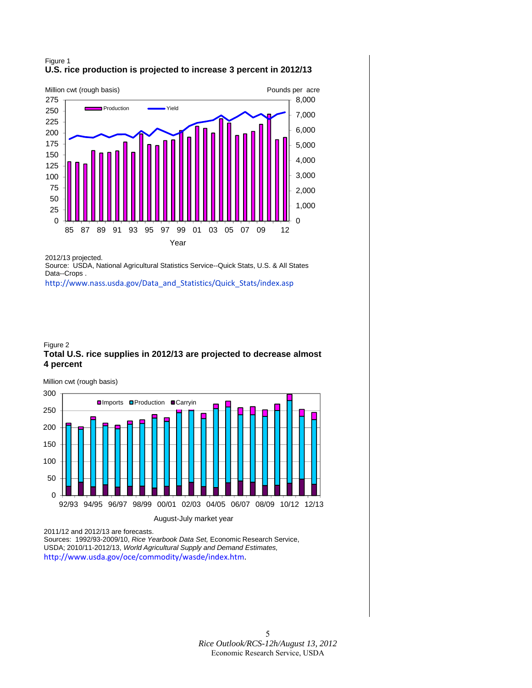### Figure 1 **U.S. rice production is projected to increase 3 percent in 2012/13**



2012/13 projected.

Source: USDA, National Agricultural Statistics Service--Quick Stats, U.S. & All States Data--Crops .

[http://www.nass.usda.gov/Data\\_and\\_Statistics/Quick\\_Stats/index.asp](http://www.nass.usda.gov/Data_and_Statistics/Quick_Stats/index.asp)

#### Figure 2 **Total U.S. rice supplies in 2012/13 are projected to decrease almost 4 percent**

0 50 100 150 200 250 300 92/93 94/95 96/97 98/99 00/01 02/03 04/05 06/07 08/09 10/12 12/13 August-July market year **Olmports OProduction OCarryin** Million cwt (rough basis)

2011/12 and 2012/13 are forecasts.

Sources: 1992/93-2009/10, *Rice Yearbook Data Set,* Economic Research Service, USDA; 2010/11-2012/13, *World Agricultural Supply and Demand Estimates,*  <http://www.usda.gov/oce/commodity/wasde/index.htm>.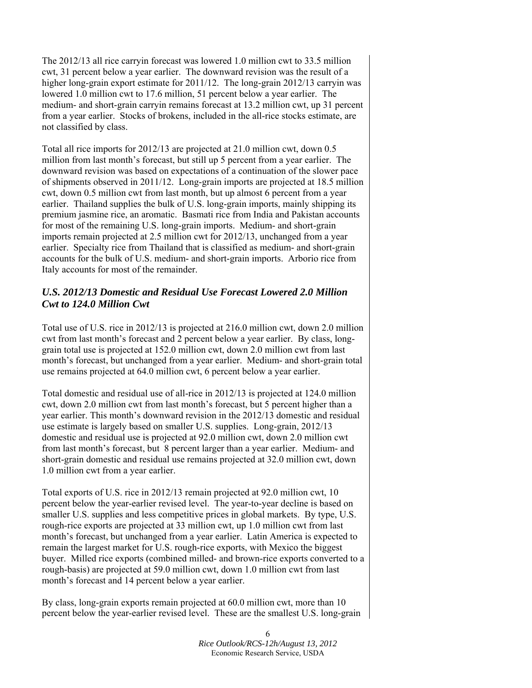The 2012/13 all rice carryin forecast was lowered 1.0 million cwt to 33.5 million cwt, 31 percent below a year earlier. The downward revision was the result of a higher long-grain export estimate for 2011/12. The long-grain 2012/13 carryin was lowered 1.0 million cwt to 17.6 million, 51 percent below a year earlier. The medium- and short-grain carryin remains forecast at 13.2 million cwt, up 31 percent from a year earlier. Stocks of brokens, included in the all-rice stocks estimate, are not classified by class.

Total all rice imports for 2012/13 are projected at 21.0 million cwt, down 0.5 million from last month's forecast, but still up 5 percent from a year earlier. The downward revision was based on expectations of a continuation of the slower pace of shipments observed in 2011/12. Long-grain imports are projected at 18.5 million cwt, down 0.5 million cwt from last month, but up almost 6 percent from a year earlier. Thailand supplies the bulk of U.S. long-grain imports, mainly shipping its premium jasmine rice, an aromatic. Basmati rice from India and Pakistan accounts for most of the remaining U.S. long-grain imports. Medium- and short-grain imports remain projected at 2.5 million cwt for 2012/13, unchanged from a year earlier. Specialty rice from Thailand that is classified as medium- and short-grain accounts for the bulk of U.S. medium- and short-grain imports. Arborio rice from Italy accounts for most of the remainder.

## *U.S. 2012/13 Domestic and Residual Use Forecast Lowered 2.0 Million Cwt to 124.0 Million Cwt*

Total use of U.S. rice in 2012/13 is projected at 216.0 million cwt, down 2.0 million cwt from last month's forecast and 2 percent below a year earlier. By class, longgrain total use is projected at 152.0 million cwt, down 2.0 million cwt from last month's forecast, but unchanged from a year earlier. Medium- and short-grain total use remains projected at 64.0 million cwt, 6 percent below a year earlier.

Total domestic and residual use of all-rice in 2012/13 is projected at 124.0 million cwt, down 2.0 million cwt from last month's forecast, but 5 percent higher than a year earlier. This month's downward revision in the 2012/13 domestic and residual use estimate is largely based on smaller U.S. supplies. Long-grain, 2012/13 domestic and residual use is projected at 92.0 million cwt, down 2.0 million cwt from last month's forecast, but 8 percent larger than a year earlier. Medium- and short-grain domestic and residual use remains projected at 32.0 million cwt, down 1.0 million cwt from a year earlier.

Total exports of U.S. rice in 2012/13 remain projected at 92.0 million cwt, 10 percent below the year-earlier revised level. The year-to-year decline is based on smaller U.S. supplies and less competitive prices in global markets. By type, U.S. rough-rice exports are projected at 33 million cwt, up 1.0 million cwt from last month's forecast, but unchanged from a year earlier. Latin America is expected to remain the largest market for U.S. rough-rice exports, with Mexico the biggest buyer. Milled rice exports (combined milled- and brown-rice exports converted to a rough-basis) are projected at 59.0 million cwt, down 1.0 million cwt from last month's forecast and 14 percent below a year earlier.

By class, long-grain exports remain projected at 60.0 million cwt, more than 10 percent below the year-earlier revised level. These are the smallest U.S. long-grain

> 6 *Rice Outlook/RCS-12h/August 13, 2012* Economic Research Service, USDA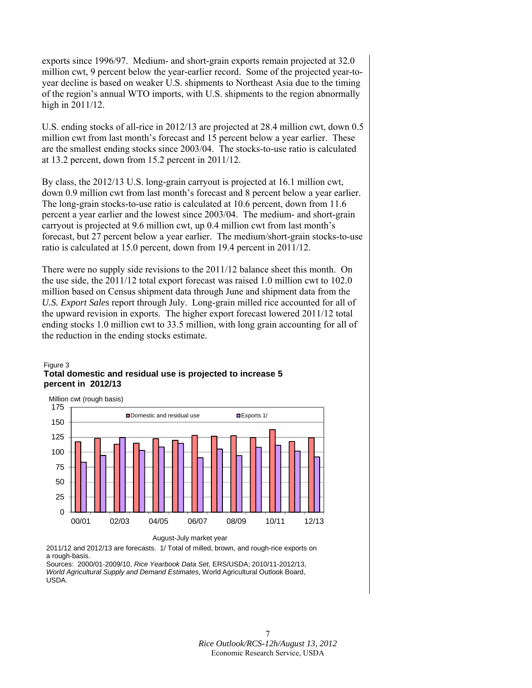exports since 1996/97. Medium- and short-grain exports remain projected at 32.0 million cwt, 9 percent below the year-earlier record. Some of the projected year-toyear decline is based on weaker U.S. shipments to Northeast Asia due to the timing of the region's annual WTO imports, with U.S. shipments to the region abnormally high in 2011/12.

U.S. ending stocks of all-rice in 2012/13 are projected at 28.4 million cwt, down 0.5 million cwt from last month's forecast and 15 percent below a year earlier. These are the smallest ending stocks since 2003/04. The stocks-to-use ratio is calculated at 13.2 percent, down from 15.2 percent in 2011/12.

By class, the 2012/13 U.S. long-grain carryout is projected at 16.1 million cwt, down 0.9 million cwt from last month's forecast and 8 percent below a year earlier. The long-grain stocks-to-use ratio is calculated at 10.6 percent, down from 11.6 percent a year earlier and the lowest since 2003/04. The medium- and short-grain carryout is projected at 9.6 million cwt, up 0.4 million cwt from last month's forecast, but 27 percent below a year earlier. The medium/short-grain stocks-to-use ratio is calculated at 15.0 percent, down from 19.4 percent in 2011/12.

There were no supply side revisions to the 2011/12 balance sheet this month. On the use side, the 2011/12 total export forecast was raised 1.0 million cwt to 102.0 million based on Census shipment data through June and shipment data from the *U.S. Export Sales* report through July. Long-grain milled rice accounted for all of the upward revision in exports. The higher export forecast lowered 2011/12 total ending stocks 1.0 million cwt to 33.5 million, with long grain accounting for all of the reduction in the ending stocks estimate.

#### Figure 3 **Total domestic and residual use is projected to increase 5 percent in 2012/13**



August-July market year

2011/12 and 2012/13 are forecasts. 1/ Total of milled, brown, and rough-rice exports on a rough-basis.

Sources: 2000/01-2009/10, *Rice Yearbook Data Set,* ERS/USDA; 2010/11-2012/13, *World Agricultural Supply and Demand Estimates,* World Agricultural Outlook Board, USDA.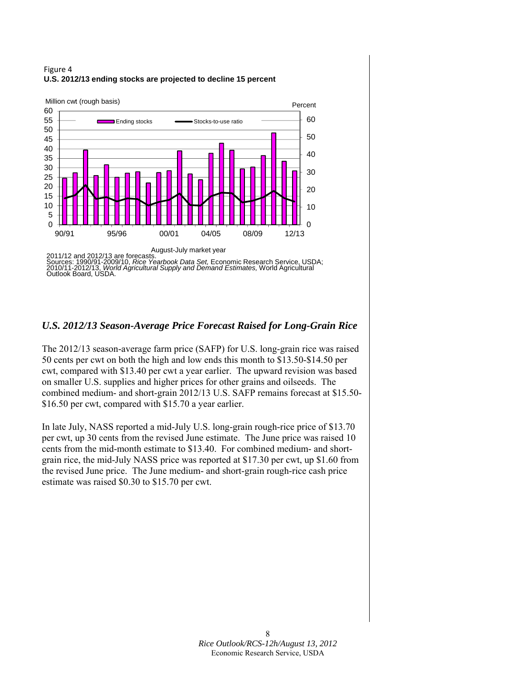#### Figure 4 **U.S. 2012/13 ending stocks are projected to decline 15 percent**



## *U.S. 2012/13 Season-Average Price Forecast Raised for Long-Grain Rice*

The 2012/13 season-average farm price (SAFP) for U.S. long-grain rice was raised 50 cents per cwt on both the high and low ends this month to \$13.50-\$14.50 per cwt, compared with \$13.40 per cwt a year earlier. The upward revision was based on smaller U.S. supplies and higher prices for other grains and oilseeds. The combined medium- and short-grain 2012/13 U.S. SAFP remains forecast at \$15.50- \$16.50 per cwt, compared with \$15.70 a year earlier.

In late July, NASS reported a mid-July U.S. long-grain rough-rice price of \$13.70 per cwt, up 30 cents from the revised June estimate. The June price was raised 10 cents from the mid-month estimate to \$13.40. For combined medium- and shortgrain rice, the mid-July NASS price was reported at \$17.30 per cwt, up \$1.60 from the revised June price. The June medium- and short-grain rough-rice cash price estimate was raised \$0.30 to \$15.70 per cwt.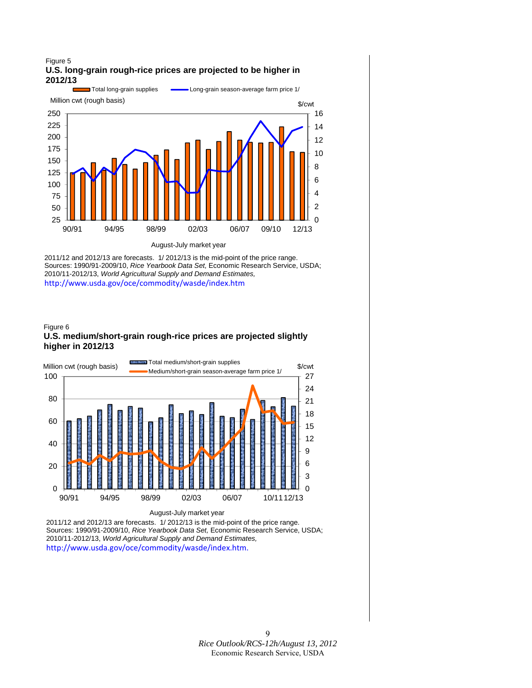#### Figure 5 **U.S. long-grain rough-rice prices are projected to be higher in 2012/13**



2011/12 and 2012/13 are forecasts. 1/ 2012/13 is the mid-point of the price range. Sources: 1990/91-2009/10, *Rice Yearbook Data Set,* Economic Research Service, USDA; 2010/11-2012/13, *World Agricultural Supply and Demand Estimates,*  <http://www.usda.gov/oce/commodity/wasde/index.htm>

#### Figure 6 **U.S. medium/short-grain rough-rice prices are projected slightly higher in 2012/13**



August-July market year

2011/12 and 2012/13 are forecasts. 1/ 2012/13 is the mid-point of the price range. Sources: 1990/91-2009/10, *Rice Yearbook Data Set,* Economic Research Service, USDA; 2010/11-2012/13, *World Agricultural Supply and Demand Estimates,* [http://www.usda.gov/oce/commodity/wasde/index.htm.](http://www.usda.gov/oce/commodity/wasde/index.htm)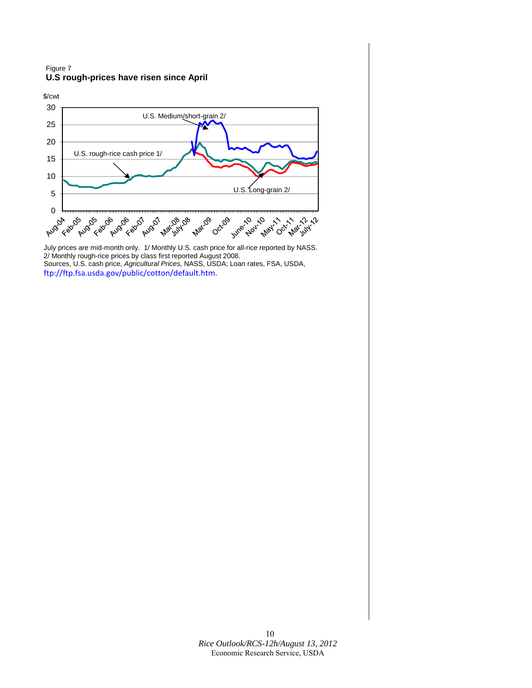#### Figure 7 **U.S rough-prices have risen since April**



July prices are mid-month only. 1/ Monthly U.S. cash price for all-rice reported by NASS. 2/ Monthly rough-rice prices by class first reported August 2008. Sources, U.S. cash price, *Agricultural Prices,* NASS, USDA; Loan rates, FSA, USDA, [ftp://ftp.fsa.usda.gov/public/cotton/default.htm.](ftp://ftp.fsa.usda.gov/public/cotton/default.htm)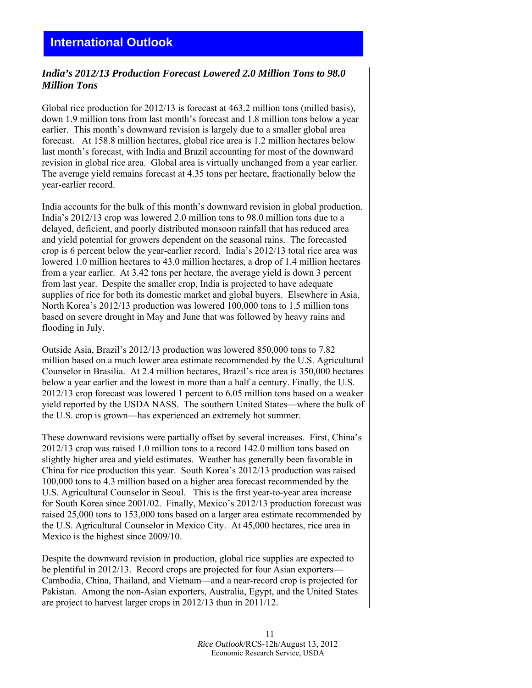## <span id="page-10-0"></span>*India's 2012/13 Production Forecast Lowered 2.0 Million Tons to 98.0 Million Tons*

Global rice production for 2012/13 is forecast at 463.2 million tons (milled basis), down 1.9 million tons from last month's forecast and 1.8 million tons below a year earlier. This month's downward revision is largely due to a smaller global area forecast. At 158.8 million hectares, global rice area is 1.2 million hectares below last month's forecast, with India and Brazil accounting for most of the downward revision in global rice area. Global area is virtually unchanged from a year earlier. The average yield remains forecast at 4.35 tons per hectare, fractionally below the year-earlier record.

India accounts for the bulk of this month's downward revision in global production. India's 2012/13 crop was lowered 2.0 million tons to 98.0 million tons due to a delayed, deficient, and poorly distributed monsoon rainfall that has reduced area and yield potential for growers dependent on the seasonal rains. The forecasted crop is 6 percent below the year-earlier record. India's 2012/13 total rice area was lowered 1.0 million hectares to 43.0 million hectares, a drop of 1.4 million hectares from a year earlier. At 3.42 tons per hectare, the average yield is down 3 percent from last year. Despite the smaller crop, India is projected to have adequate supplies of rice for both its domestic market and global buyers. Elsewhere in Asia, North Korea's 2012/13 production was lowered 100,000 tons to 1.5 million tons based on severe drought in May and June that was followed by heavy rains and flooding in July.

Outside Asia, Brazil's 2012/13 production was lowered 850,000 tons to 7.82 million based on a much lower area estimate recommended by the U.S. Agricultural Counselor in Brasilia. At 2.4 million hectares, Brazil's rice area is 350,000 hectares below a year earlier and the lowest in more than a half a century. Finally, the U.S. 2012/13 crop forecast was lowered 1 percent to 6.05 million tons based on a weaker yield reported by the USDA NASS. The southern United States—where the bulk of the U.S. crop is grown—has experienced an extremely hot summer.

These downward revisions were partially offset by several increases. First, China's 2012/13 crop was raised 1.0 million tons to a record 142.0 million tons based on slightly higher area and yield estimates. Weather has generally been favorable in China for rice production this year. South Korea's 2012/13 production was raised 100,000 tons to 4.3 million based on a higher area forecast recommended by the U.S. Agricultural Counselor in Seoul. This is the first year-to-year area increase for South Korea since 2001/02. Finally, Mexico's 2012/13 production forecast was raised 25,000 tons to 153,000 tons based on a larger area estimate recommended by the U.S. Agricultural Counselor in Mexico City. At 45,000 hectares, rice area in Mexico is the highest since 2009/10.

Despite the downward revision in production, global rice supplies are expected to be plentiful in 2012/13. Record crops are projected for four Asian exporters— Cambodia, China, Thailand, and Vietnam—and a near-record crop is projected for Pakistan. Among the non-Asian exporters, Australia, Egypt, and the United States are project to harvest larger crops in 2012/13 than in 2011/12.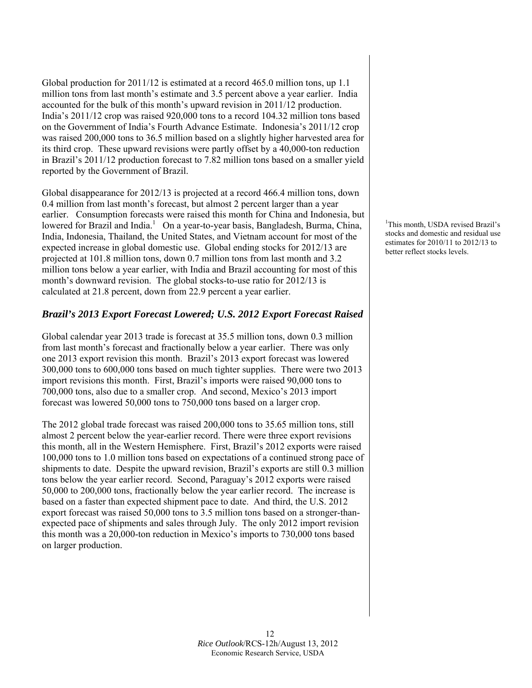Global production for 2011/12 is estimated at a record 465.0 million tons, up 1.1 million tons from last month's estimate and 3.5 percent above a year earlier. India accounted for the bulk of this month's upward revision in 2011/12 production. India's 2011/12 crop was raised 920,000 tons to a record 104.32 million tons based on the Government of India's Fourth Advance Estimate. Indonesia's 2011/12 crop was raised 200,000 tons to 36.5 million based on a slightly higher harvested area for its third crop. These upward revisions were partly offset by a 40,000-ton reduction in Brazil's 2011/12 production forecast to 7.82 million tons based on a smaller yield reported by the Government of Brazil.

Global disappearance for 2012/13 is projected at a record 466.4 million tons, down 0.4 million from last month's forecast, but almost 2 percent larger than a year earlier. Consumption forecasts were raised this month for China and Indonesia, but lowered for Brazil and India.<sup>1</sup> On a year-to-year basis, Bangladesh, Burma, China, India, Indonesia, Thailand, the United States, and Vietnam account for most of the expected increase in global domestic use. Global ending stocks for 2012/13 are projected at 101.8 million tons, down 0.7 million tons from last month and 3.2 million tons below a year earlier, with India and Brazil accounting for most of this month's downward revision. The global stocks-to-use ratio for 2012/13 is calculated at 21.8 percent, down from 22.9 percent a year earlier.

## *Brazil's 2013 Export Forecast Lowered; U.S. 2012 Export Forecast Raised*

Global calendar year 2013 trade is forecast at 35.5 million tons, down 0.3 million from last month's forecast and fractionally below a year earlier. There was only one 2013 export revision this month. Brazil's 2013 export forecast was lowered 300,000 tons to 600,000 tons based on much tighter supplies. There were two 2013 import revisions this month. First, Brazil's imports were raised 90,000 tons to 700,000 tons, also due to a smaller crop. And second, Mexico's 2013 import forecast was lowered 50,000 tons to 750,000 tons based on a larger crop.

The 2012 global trade forecast was raised 200,000 tons to 35.65 million tons, still almost 2 percent below the year-earlier record. There were three export revisions this month, all in the Western Hemisphere. First, Brazil's 2012 exports were raised 100,000 tons to 1.0 million tons based on expectations of a continued strong pace of shipments to date. Despite the upward revision, Brazil's exports are still 0.3 million tons below the year earlier record. Second, Paraguay's 2012 exports were raised 50,000 to 200,000 tons, fractionally below the year earlier record. The increase is based on a faster than expected shipment pace to date. And third, the U.S. 2012 export forecast was raised 50,000 tons to 3.5 million tons based on a stronger-thanexpected pace of shipments and sales through July. The only 2012 import revision this month was a 20,000-ton reduction in Mexico's imports to 730,000 tons based on larger production.

<sup>1</sup>This month, USDA revised Brazil's stocks and domestic and residual use estimates for 2010/11 to 2012/13 to better reflect stocks levels.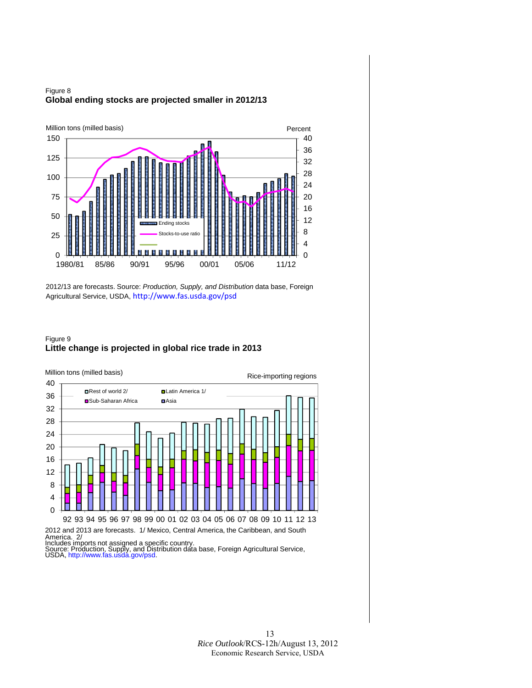



2012/13 are forecasts. Source: *Production, Supply, and Distribution* data base, Foreign Agricultural Service, USDA, [http://www.fas.usda.gov/psd](http://www.fas.usda.gov/psdonline)

#### Figure 9 **Little change is projected in global rice trade in 2013**

 $\overline{0}$ 4 8 12 16 20 24 28 32 36 40 92 93 94 95 96 97 98 99 00 01 02 03 04 05 06 07 08 09 10 11 12 13 **□Rest of world 2/ □Latin America 1/** ■Sub-Saharan Africa <br>■ Asia Million tons (milled basis) 2012 and 2013 are forecasts. 1/ Mexico, Central America, the Caribbean, and South Rice-importing regions

America. 2/<br>Includes imports not assigned a specific country.<br>Source: Production, Supply, and Distribution data base, Foreign Agricultural Service,<br>USDA[, http://www.fas.usda.gov/psd.](http://www.fas.usda.gov/psdonline)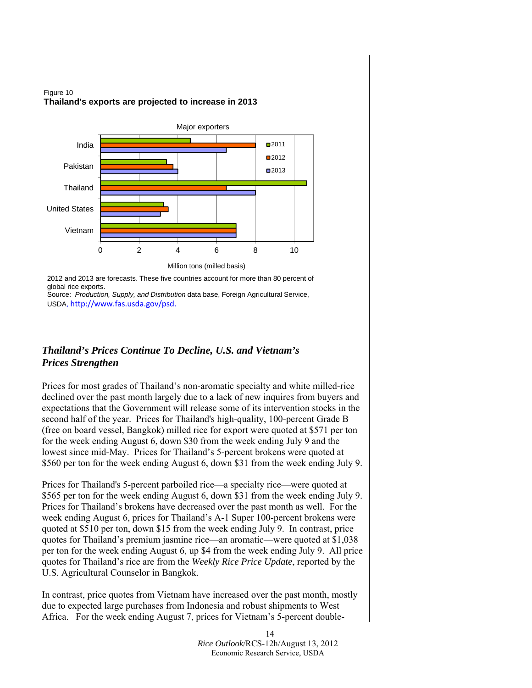



2012 and 2013 are forecasts. These five countries account for more than 80 percent of global rice exports.

Source: *Production, Supply, and Distribution* data base, Foreign Agricultural Service, USDA, [http://www.fas.usda.gov/psd.](http://www.fas.usda.gov/psdonline)

## *Thailand's Prices Continue To Decline, U.S. and Vietnam's Prices Strengthen*

Prices for most grades of Thailand's non-aromatic specialty and white milled-rice declined over the past month largely due to a lack of new inquires from buyers and expectations that the Government will release some of its intervention stocks in the second half of the year. Prices for Thailand's high-quality, 100-percent Grade B (free on board vessel, Bangkok) milled rice for export were quoted at \$571 per ton for the week ending August 6, down \$30 from the week ending July 9 and the lowest since mid-May. Prices for Thailand's 5-percent brokens were quoted at \$560 per ton for the week ending August 6, down \$31 from the week ending July 9.

Prices for Thailand's 5-percent parboiled rice—a specialty rice—were quoted at \$565 per ton for the week ending August 6, down \$31 from the week ending July 9. Prices for Thailand's brokens have decreased over the past month as well. For the week ending August 6, prices for Thailand's A-1 Super 100-percent brokens were quoted at \$510 per ton, down \$15 from the week ending July 9. In contrast, price quotes for Thailand's premium jasmine rice—an aromatic—were quoted at \$1,038 per ton for the week ending August 6, up \$4 from the week ending July 9. All price quotes for Thailand's rice are from the *Weekly Rice Price Update*, reported by the U.S. Agricultural Counselor in Bangkok.

In contrast, price quotes from Vietnam have increased over the past month, mostly due to expected large purchases from Indonesia and robust shipments to West Africa. For the week ending August 7, prices for Vietnam's 5-percent double-

> 14 *Rice Outlook*/RCS-12h/August 13, 2012 Economic Research Service, USDA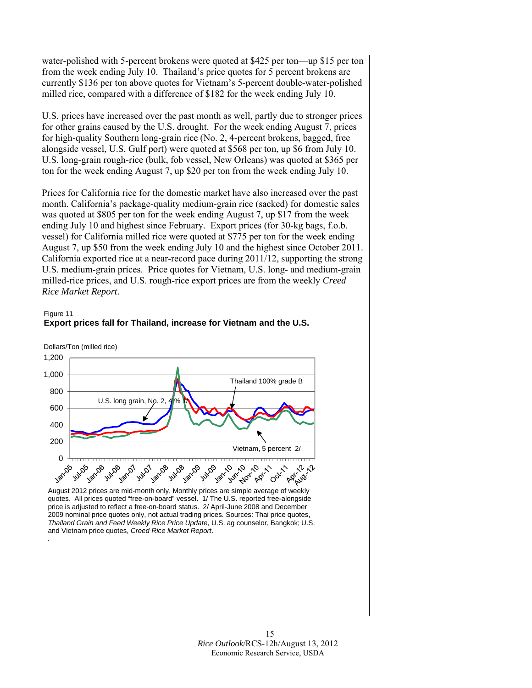water-polished with 5-percent brokens were quoted at \$425 per ton—up \$15 per ton from the week ending July 10. Thailand's price quotes for 5 percent brokens are currently \$136 per ton above quotes for Vietnam's 5-percent double-water-polished milled rice, compared with a difference of \$182 for the week ending July 10.

U.S. prices have increased over the past month as well, partly due to stronger prices for other grains caused by the U.S. drought. For the week ending August 7, prices for high-quality Southern long-grain rice (No. 2, 4-percent brokens, bagged, free alongside vessel, U.S. Gulf port) were quoted at \$568 per ton, up \$6 from July 10. U.S. long-grain rough-rice (bulk, fob vessel, New Orleans) was quoted at \$365 per ton for the week ending August 7, up \$20 per ton from the week ending July 10.

Prices for California rice for the domestic market have also increased over the past month. California's package-quality medium-grain rice (sacked) for domestic sales was quoted at \$805 per ton for the week ending August 7, up \$17 from the week ending July 10 and highest since February. Export prices (for 30-kg bags, f.o.b. vessel) for California milled rice were quoted at \$775 per ton for the week ending August 7, up \$50 from the week ending July 10 and the highest since October 2011. California exported rice at a near-record pace during 2011/12, supporting the strong U.S. medium-grain prices. Price quotes for Vietnam, U.S. long- and medium-grain milled-rice prices, and U.S. rough-rice export prices are from the weekly *Creed Rice Market Report*.

Figure 11 **Export prices fall for Thailand, increase for Vietnam and the U.S.**



*.*



quotes. All prices quoted "free-on-board" vessel. 1/ The U.S. reported free-alongside price is adjusted to reflect a free-on-board status. 2/ April-June 2008 and December 2009 nominal price quotes only, not actual trading prices. Sources: Thai price quotes, *Thailand Grain and Feed Weekly Rice Price Update*, U.S. ag counselor, Bangkok; U.S. and Vietnam price quotes, *Creed Rice Market Report*.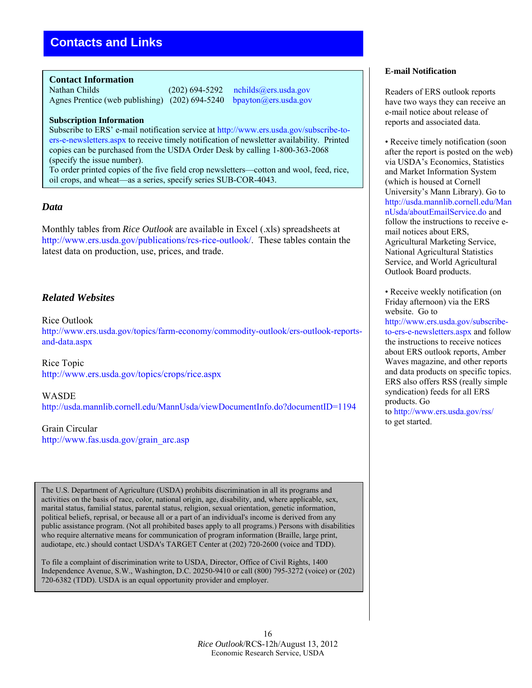#### <span id="page-15-0"></span>**Contact Information**

Nathan Childs (202) 694-5292 [nchilds@ers.usda.gov](mailto:nchilds@ers.usda.gov)<br>Agnes Prentice (web publishing) (202) 694-5240 bpayton@ers.usda.gov Agnes Prentice (web publishing)  $(202)$  694-5240

#### **Subscription Information**

Subscribe to ERS' e-mail notification service at [http://www.ers.usda.gov/subscribe-to](http://www.ers.usda.gov/subscribe-to-ers-e-newsletters.aspx)[ers-e-newsletters.aspx](http://www.ers.usda.gov/subscribe-to-ers-e-newsletters.aspx) to receive timely notification of newsletter availability. Printed copies can be purchased from the USDA Order Desk by calling 1-800-363-2068 (specify the issue number).

To order printed copies of the five field crop newsletters—cotton and wool, feed, rice, oil crops, and wheat—as a series, specify series SUB-COR-4043.

## *Data*

Monthly tables from *Rice Outlook* are available in Excel (.xls) spreadsheets at [http://www.ers.usda.gov/publications/rcs-rice-outlook/](http://www.ers.usda.gov/publications/rcs-rice-outlook). These tables contain the latest data on production, use, prices, and trade.

## *Related Websites*

Rice Outlook [http://www.ers.usda.gov/topics/farm-economy/commodity-outlook/ers-outlook-reports](http://www.ers.usda.gov/topics/farm-economy/commodity-outlook/ers-outlook-reports-and-data.aspx)[and-data.aspx](http://www.ers.usda.gov/topics/farm-economy/commodity-outlook/ers-outlook-reports-and-data.aspx) 

Rice Topic <http://www.ers.usda.gov/topics/crops/rice.aspx>

WASDE <http://usda.mannlib.cornell.edu/MannUsda/viewDocumentInfo.do?documentID=1194>

Grain Circular [http://www.fas.usda.gov/grain\\_arc.asp](http://www.fas.usda.gov/grain_arc.asp)

The U.S. Department of Agriculture (USDA) prohibits discrimination in all its programs and activities on the basis of race, color, national origin, age, disability, and, where applicable, sex, marital status, familial status, parental status, religion, sexual orientation, genetic information, political beliefs, reprisal, or because all or a part of an individual's income is derived from any public assistance program. (Not all prohibited bases apply to all programs.) Persons with disabilities who require alternative means for communication of program information (Braille, large print, audiotape, etc.) should contact USDA's TARGET Center at (202) 720-2600 (voice and TDD).

To file a complaint of discrimination write to USDA, Director, Office of Civil Rights, 1400 Independence Avenue, S.W., Washington, D.C. 20250-9410 or call (800) 795-3272 (voice) or (202) 720-6382 (TDD). USDA is an equal opportunity provider and employer.

#### **E-mail Notification**

Readers of ERS outlook reports have two ways they can receive an e-mail notice about release of reports and associated data.

• Receive timely notification (soon after the report is posted on the web) via USDA's Economics, Statistics and Market Information System (which is housed at Cornell University's Mann Library). Go to [http://usda.mannlib.cornell.edu/Man](http://usda.mannlib.cornell.edu/MannUsda/aboutEmailService.do) [nUsda/aboutEmailService.do](http://usda.mannlib.cornell.edu/MannUsda/aboutEmailService.do) and follow the instructions to receive email notices about ERS, Agricultural Marketing Service, National Agricultural Statistics Service, and World Agricultural Outlook Board products.

• Receive weekly notification (on Friday afternoon) via the ERS website. Go to [http://www.ers.usda.gov/subscribe](http://www.ers.usda.gov/subscribe-to-ers-e-newsletters.aspx)[to-ers-e-newsletters.aspx](http://www.ers.usda.gov/subscribe-to-ers-e-newsletters.aspx) and follow the instructions to receive notices about ERS outlook reports, Amber Waves magazine, and other reports and data products on specific topics. ERS also offers RSS (really simple syndication) feeds for all ERS products. Go to<http://www.ers.usda.gov/rss/> to get started.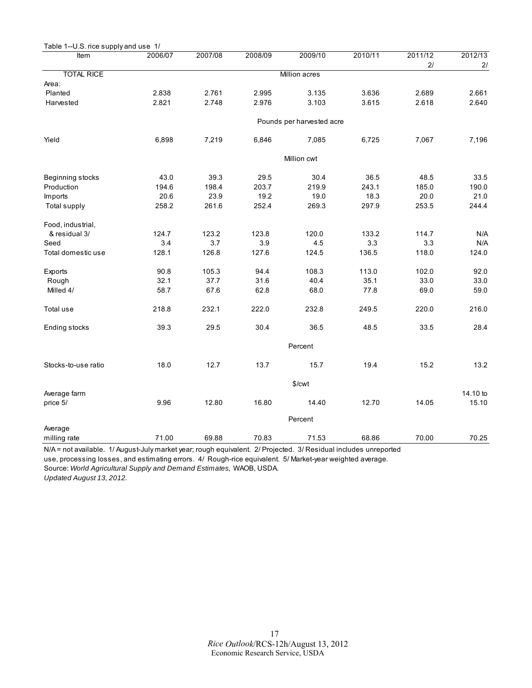<span id="page-16-0"></span>

| Table 1--U.S. rice supply and use 1/ |         |         |         |                           |         |               |               |  |  |
|--------------------------------------|---------|---------|---------|---------------------------|---------|---------------|---------------|--|--|
| Item                                 | 2006/07 | 2007/08 | 2008/09 | 2009/10                   | 2010/11 | 2011/12<br>2/ | 2012/13<br>2/ |  |  |
| <b>TOTAL RICE</b>                    |         |         |         | Million acres             |         |               |               |  |  |
| Area:                                |         |         |         |                           |         |               |               |  |  |
| Planted                              | 2.838   | 2.761   | 2.995   | 3.135                     | 3.636   | 2.689         | 2.661         |  |  |
| Harvested                            | 2.821   | 2.748   | 2.976   | 3.103                     | 3.615   | 2.618         | 2.640         |  |  |
|                                      |         |         |         | Pounds per harvested acre |         |               |               |  |  |
| Yield                                | 6,898   | 7,219   | 6,846   | 7,085                     | 6,725   | 7,067         | 7,196         |  |  |
|                                      |         |         |         | Million cwt               |         |               |               |  |  |
| Beginning stocks                     | 43.0    | 39.3    | 29.5    | 30.4                      | 36.5    | 48.5          | 33.5          |  |  |
| Production                           | 194.6   | 198.4   | 203.7   | 219.9                     | 243.1   | 185.0         | 190.0         |  |  |
| Imports                              | 20.6    | 23.9    | 19.2    | 19.0                      | 18.3    | 20.0          | 21.0          |  |  |
| Total supply                         | 258.2   | 261.6   | 252.4   | 269.3                     | 297.9   | 253.5         | 244.4         |  |  |
| Food, industrial,                    |         |         |         |                           |         |               |               |  |  |
| & residual 3/                        | 124.7   | 123.2   | 123.8   | 120.0                     | 133.2   | 114.7         | N/A           |  |  |
| Seed                                 | 3.4     | 3.7     | 3.9     | 4.5                       | 3.3     | 3.3           | N/A           |  |  |
| Total domestic use                   | 128.1   | 126.8   | 127.6   | 124.5                     | 136.5   | 118.0         | 124.0         |  |  |
| Exports                              | 90.8    | 105.3   | 94.4    | 108.3                     | 113.0   | 102.0         | 92.0          |  |  |
| Rough                                | 32.1    | 37.7    | 31.6    | 40.4                      | 35.1    | 33.0          | 33.0          |  |  |
| Milled 4/                            | 58.7    | 67.6    | 62.8    | 68.0                      | 77.8    | 69.0          | 59.0          |  |  |
| Total use                            | 218.8   | 232.1   | 222.0   | 232.8                     | 249.5   | 220.0         | 216.0         |  |  |
| Ending stocks                        | 39.3    | 29.5    | 30.4    | 36.5                      | 48.5    | 33.5          | 28.4          |  |  |
|                                      |         |         |         |                           |         |               |               |  |  |
| Stocks-to-use ratio                  | 18.0    | 12.7    | 13.7    | 15.7                      | 19.4    | 15.2          | 13.2          |  |  |
|                                      |         |         |         | \$/cwt                    |         |               |               |  |  |
| Average farm                         |         |         |         |                           |         |               | 14.10 to      |  |  |
| price 5/                             | 9.96    | 12.80   | 16.80   | 14.40                     | 12.70   | 14.05         | 15.10         |  |  |
|                                      | Percent |         |         |                           |         |               |               |  |  |
| Average                              |         |         |         |                           |         |               |               |  |  |
| milling rate                         | 71.00   | 69.88   | 70.83   | 71.53                     | 68.86   | 70.00         | 70.25         |  |  |

N/A = not available. 1/ August-July market year; rough equivalent. 2/ Projected. 3/ Residual includes unreported use, processing losses, and estimating errors. 4/ Rough-rice equivalent. 5/ Market-year weighted average.

Source: *World Agricultural Supply and Demand Estimates,* WAOB, USDA.

*Updated August 13, 2012.*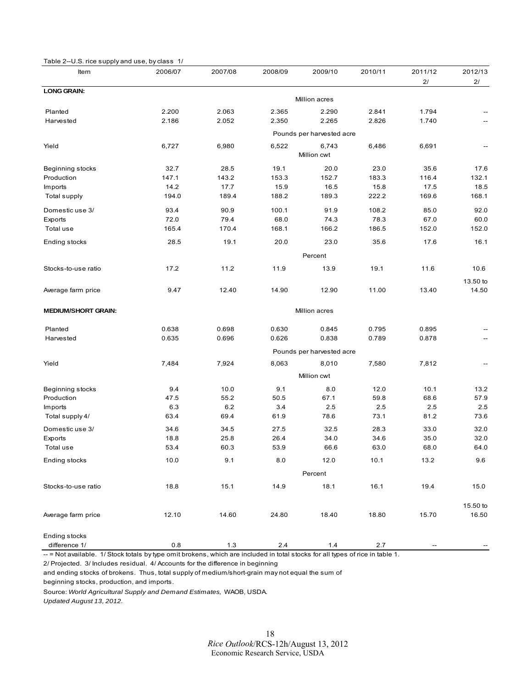<span id="page-17-0"></span>

| Item                       | 2006/07       | 2007/08       | 2008/09       | 2009/10                   | 2010/11       | 2011/12       | 2012/13       |
|----------------------------|---------------|---------------|---------------|---------------------------|---------------|---------------|---------------|
|                            |               |               |               |                           |               | 2/            | 2/            |
| <b>LONG GRAIN:</b>         |               |               |               |                           |               |               |               |
|                            |               |               |               | Million acres             |               |               |               |
| Planted                    | 2.200         | 2.063         | 2.365         | 2.290                     | 2.841         | 1.794         |               |
| Harvested                  | 2.186         | 2.052         | 2.350         | 2.265                     | 2.826         | 1.740         |               |
|                            |               |               |               | Pounds per harvested acre |               |               |               |
| Yield                      | 6,727         | 6,980         | 6,522         | 6,743                     | 6,486         | 6,691         |               |
|                            |               |               |               | Million cwt               |               |               |               |
|                            |               |               |               |                           |               |               |               |
| Beginning stocks           | 32.7<br>147.1 | 28.5<br>143.2 | 19.1<br>153.3 | 20.0                      | 23.0<br>183.3 | 35.6<br>116.4 | 17.6          |
| Production<br>Imports      | 14.2          | 17.7          | 15.9          | 152.7<br>16.5             | 15.8          | 17.5          | 132.1<br>18.5 |
| Total supply               | 194.0         | 189.4         | 188.2         | 189.3                     | 222.2         | 169.6         | 168.1         |
|                            |               |               |               |                           |               |               |               |
| Domestic use 3/            | 93.4          | 90.9          | 100.1         | 91.9                      | 108.2         | 85.0          | 92.0          |
| Exports                    | 72.0          | 79.4          | 68.0          | 74.3                      | 78.3          | 67.0          | 60.0          |
| Total use                  | 165.4         | 170.4         | 168.1         | 166.2                     | 186.5         | 152.0         | 152.0         |
| Ending stocks              | 28.5          | 19.1          | 20.0          | 23.0                      | 35.6          | 17.6          | 16.1          |
|                            |               |               |               | Percent                   |               |               |               |
|                            |               |               |               |                           |               |               |               |
| Stocks-to-use ratio        | 17.2          | 11.2          | 11.9          | 13.9                      | 19.1          | 11.6          | 10.6          |
|                            |               |               |               |                           |               |               | 13.50 to      |
| Average farm price         | 9.47          | 12.40         | 14.90         | 12.90                     | 11.00         | 13.40         | 14.50         |
|                            |               |               |               | Million acres             |               |               |               |
| <b>MEDIUM/SHORT GRAIN:</b> |               |               |               |                           |               |               |               |
| Planted                    | 0.638         | 0.698         | 0.630         | 0.845                     | 0.795         | 0.895         |               |
| Harvested                  | 0.635         | 0.696         | 0.626         | 0.838                     | 0.789         | 0.878         |               |
|                            |               |               |               | Pounds per harvested acre |               |               |               |
| Yield                      | 7,484         | 7,924         | 8,063         | 8,010                     | 7,580         | 7,812         |               |
|                            |               |               |               |                           |               |               |               |
|                            |               |               |               | Million cwt               |               |               |               |
| Beginning stocks           | 9.4           | 10.0          | 9.1           | 8.0                       | 12.0          | 10.1          | 13.2          |
| Production                 | 47.5          | 55.2          | 50.5          | 67.1                      | 59.8          | 68.6          | 57.9          |
| Imports                    | 6.3           | 6.2           | 3.4           | 2.5                       | 2.5           | 2.5           | 2.5           |
| Total supply 4/            | 63.4          | 69.4          | 61.9          | 78.6                      | 73.1          | 81.2          | 73.6          |
| Domestic use 3/            | 34.6          | 34.5          | 27.5          | 32.5                      | 28.3          | 33.0          | 32.0          |
| Exports                    | 18.8          | 25.8          | 26.4          | 34.0                      | 34.6          | 35.0          | 32.0          |
| Total use                  | 53.4          | 60.3          | 53.9          | 66.6                      | 63.0          | 68.0          | 64.0          |
| Ending stocks              | 10.0          | 9.1           | 8.0           | 12.0                      | 10.1          | 13.2          | $9.6\,$       |
|                            |               |               |               | Percent                   |               |               |               |
|                            |               |               |               |                           |               |               |               |
| Stocks-to-use ratio        | 18.8          | 15.1          | 14.9          | 18.1                      | 16.1          | 19.4          | 15.0          |
|                            |               |               |               |                           |               |               | 15.50 to      |
| Average farm price         | 12.10         | 14.60         | 24.80         | 18.40                     | 18.80         | 15.70         | 16.50         |
|                            |               |               |               |                           |               |               |               |
| Ending stocks              |               |               |               |                           |               |               |               |
| difference 1/              | $0.8\,$       | $1.3$         | $2.4\,$       | $1.4$                     | $2.7\,$       |               |               |

-- = Not available. 1/ Stock totals by type omit brokens, which are included in total stocks for all types of rice in table 1.

2/ Projected. 3/ Includes residual. 4/ Accounts for the difference in beginning

and ending stocks of brokens. Thus, total supply of medium/short-grain may not equal the sum of beginning stocks, production, and imports.

Source: *World Agricultural Supply and Demand Estimates,* WAOB, USDA.

*Updated August 13, 2012.*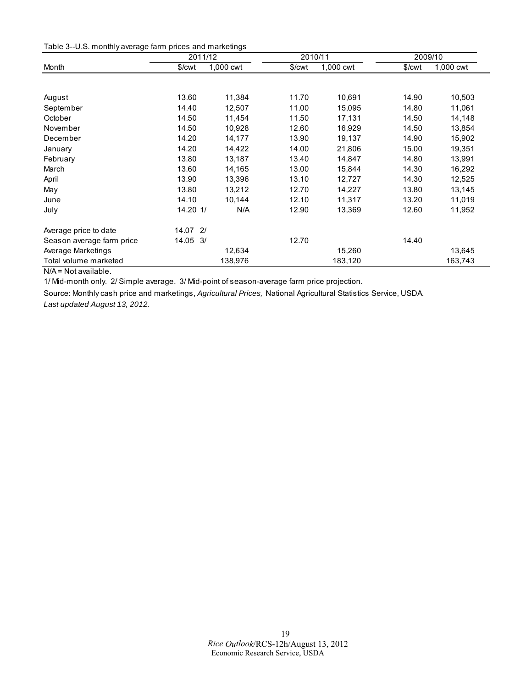<span id="page-18-0"></span>

|                           | 2011/12  |           |                    | 2010/11   | 2009/10 |           |
|---------------------------|----------|-----------|--------------------|-----------|---------|-----------|
| Month                     | \$/cwt   | 1,000 cwt | \$/ <sub>cut</sub> | 1,000 cwt | \$/cwt  | 1,000 cwt |
|                           |          |           |                    |           |         |           |
| August                    | 13.60    | 11,384    | 11.70              | 10,691    | 14.90   | 10,503    |
| September                 | 14.40    | 12,507    | 11.00              | 15,095    | 14.80   | 11,061    |
| October                   | 14.50    | 11,454    | 11.50              | 17,131    | 14.50   | 14,148    |
| November                  | 14.50    | 10,928    | 12.60              | 16,929    | 14.50   | 13,854    |
| December                  | 14.20    | 14,177    | 13.90              | 19,137    | 14.90   | 15,902    |
| January                   | 14.20    | 14,422    | 14.00              | 21,806    | 15.00   | 19,351    |
| February                  | 13.80    | 13,187    | 13.40              | 14,847    | 14.80   | 13,991    |
| March                     | 13.60    | 14,165    | 13.00              | 15,844    | 14.30   | 16,292    |
| April                     | 13.90    | 13,396    | 13.10              | 12,727    | 14.30   | 12,525    |
| May                       | 13.80    | 13,212    | 12.70              | 14,227    | 13.80   | 13,145    |
| June                      | 14.10    | 10,144    | 12.10              | 11,317    | 13.20   | 11,019    |
| July                      | 14.20 1/ | N/A       | 12.90              | 13,369    | 12.60   | 11,952    |
| Average price to date     | 14.07 2/ |           |                    |           |         |           |
| Season average farm price | 14.05 3/ |           | 12.70              |           | 14.40   |           |
| Average Marketings        |          | 12,634    |                    | 15,260    |         | 13,645    |
| Total volume marketed     |          | 138,976   |                    | 183,120   |         | 163,743   |

N/A = Not available.

1/ Mid-month only. 2/ Simple average. 3/ Mid-point of season-average farm price projection.

Source: Monthly cash price and marketings, *Agricultural Prices,* National Agricultural Statistics Service, USDA. *Last updated August 13, 2012.*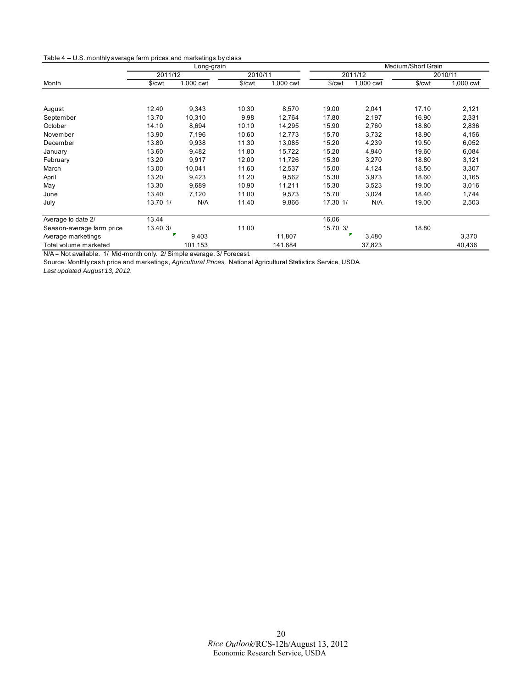<span id="page-19-0"></span>

|                           | Long-grain |           |         |           | Medium/Short Grain |           |         |           |
|---------------------------|------------|-----------|---------|-----------|--------------------|-----------|---------|-----------|
|                           | 2011/12    |           | 2010/11 |           | 2011/12            |           | 2010/11 |           |
| Month                     | \$/cwt     | 1,000 cwt | \$/cwt  | 1,000 cwt | \$/cwt             | 1,000 cwt | \$/cwt  | 1,000 cwt |
|                           |            |           |         |           |                    |           |         |           |
| August                    | 12.40      | 9,343     | 10.30   | 8,570     | 19.00              | 2,041     | 17.10   | 2,121     |
| September                 | 13.70      | 10,310    | 9.98    | 12,764    | 17.80              | 2,197     | 16.90   | 2,331     |
| October                   | 14.10      | 8,694     | 10.10   | 14,295    | 15.90              | 2,760     | 18.80   | 2,836     |
| November                  | 13.90      | 7,196     | 10.60   | 12,773    | 15.70              | 3,732     | 18.90   | 4,156     |
| December                  | 13.80      | 9,938     | 11.30   | 13,085    | 15.20              | 4,239     | 19.50   | 6,052     |
| January                   | 13.60      | 9,482     | 11.80   | 15,722    | 15.20              | 4,940     | 19.60   | 6,084     |
| February                  | 13.20      | 9,917     | 12.00   | 11,726    | 15.30              | 3,270     | 18.80   | 3,121     |
| March                     | 13.00      | 10,041    | 11.60   | 12,537    | 15.00              | 4,124     | 18.50   | 3,307     |
| April                     | 13.20      | 9,423     | 11.20   | 9,562     | 15.30              | 3,973     | 18.60   | 3,165     |
| May                       | 13.30      | 9,689     | 10.90   | 11,211    | 15.30              | 3,523     | 19.00   | 3,016     |
| June                      | 13.40      | 7,120     | 11.00   | 9,573     | 15.70              | 3,024     | 18.40   | 1,744     |
| July                      | 13.70 1/   | N/A       | 11.40   | 9,866     | 17.30 1/           | N/A       | 19.00   | 2,503     |
| Average to date 2/        | 13.44      |           |         |           | 16.06              |           |         |           |
| Season-average farm price | 13.40 3/   |           | 11.00   |           | 15.70 3/           |           | 18.80   |           |
| Average marketings        |            | 9,403     |         | 11,807    |                    | 3,480     |         | 3,370     |
| Total volume marketed     |            | 101,153   |         | 141,684   |                    | 37,823    |         | 40,436    |

N/A = Not available. 1/ Mid-month only. 2/ Simple average. 3/ Forecast.

Source: Monthly cash price and marketings, *Agricultural Prices,* National Agricultural Statistics Service, USDA.

*Last updated August 13, 2012.*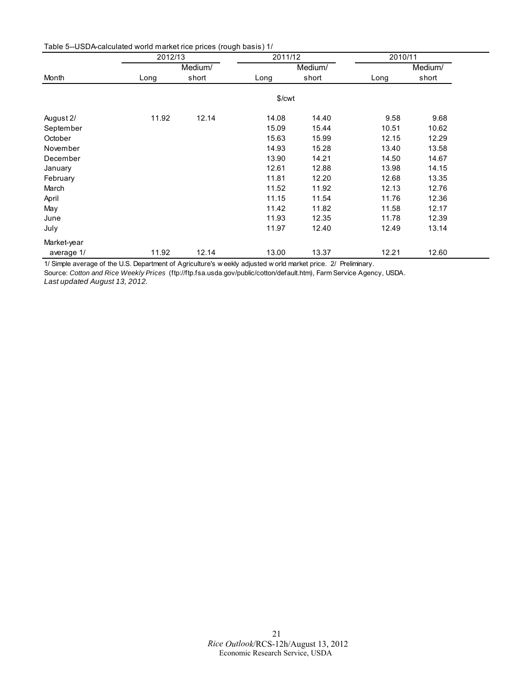<span id="page-20-0"></span>Table 5--USDA-calculated world market rice prices (rough basis) 1/

|             | 2012/13 |         | 2011/12 |         | 2010/11 |         |
|-------------|---------|---------|---------|---------|---------|---------|
|             |         | Medium/ |         | Medium/ |         | Medium/ |
| Month       | Long    | short   | Long    | short   | Long    | short   |
|             |         |         | \$/cwt  |         |         |         |
| August 2/   | 11.92   | 12.14   | 14.08   | 14.40   | 9.58    | 9.68    |
| September   |         |         | 15.09   | 15.44   | 10.51   | 10.62   |
| October     |         |         | 15.63   | 15.99   | 12.15   | 12.29   |
| November    |         |         | 14.93   | 15.28   | 13.40   | 13.58   |
| December    |         |         | 13.90   | 14.21   | 14.50   | 14.67   |
| January     |         |         | 12.61   | 12.88   | 13.98   | 14.15   |
| February    |         |         | 11.81   | 12.20   | 12.68   | 13.35   |
| March       |         |         | 11.52   | 11.92   | 12.13   | 12.76   |
| April       |         |         | 11.15   | 11.54   | 11.76   | 12.36   |
| May         |         |         | 11.42   | 11.82   | 11.58   | 12.17   |
| June        |         |         | 11.93   | 12.35   | 11.78   | 12.39   |
| July        |         |         | 11.97   | 12.40   | 12.49   | 13.14   |
| Market-year |         |         |         |         |         |         |
| average 1/  | 11.92   | 12.14   | 13.00   | 13.37   | 12.21   | 12.60   |

1/ Simple average of the U.S. Department of Agriculture's w eekly adjusted w orld market price. 2/ Preliminary.

Source: *Cotton and Rice Weekly Prices* (ftp://ftp.fsa.usda.gov/public/cotton/default.htm), Farm Service Agency, USDA. *Last updated August 13, 2012.*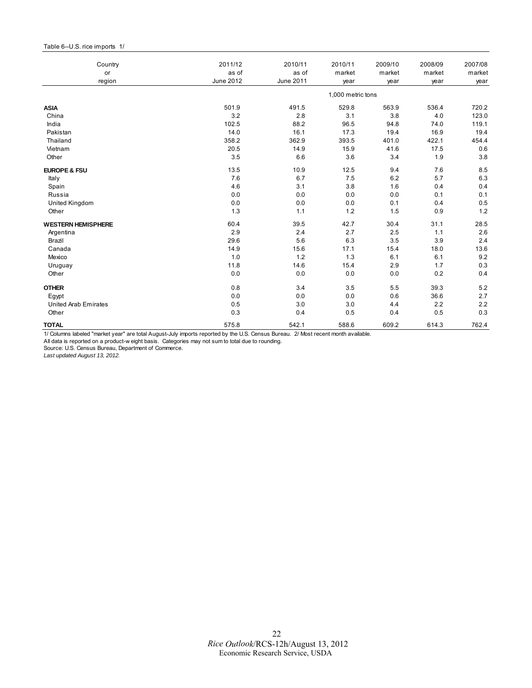#### <span id="page-21-0"></span>Table 6--U.S. rice imports 1/

| Country                     | 2011/12   | 2010/11   | 2010/11           | 2009/10 | 2008/09 | 2007/08 |
|-----------------------------|-----------|-----------|-------------------|---------|---------|---------|
| or                          | as of     | as of     | market            | market  | market  | market  |
| region                      | June 2012 | June 2011 | year              | year    | year    | year    |
|                             |           |           | 1,000 metric tons |         |         |         |
| <b>ASIA</b>                 | 501.9     | 491.5     | 529.8             | 563.9   | 536.4   | 720.2   |
| China                       | 3.2       | 2.8       | 3.1               | 3.8     | 4.0     | 123.0   |
| India                       | 102.5     | 88.2      | 96.5              | 94.8    | 74.0    | 119.1   |
| Pakistan                    | 14.0      | 16.1      | 17.3              | 19.4    | 16.9    | 19.4    |
| Thailand                    | 358.2     | 362.9     | 393.5             | 401.0   | 422.1   | 454.4   |
| Vietnam                     | 20.5      | 14.9      | 15.9              | 41.6    | 17.5    | 0.6     |
| Other                       | 3.5       | 6.6       | 3.6               | 3.4     | 1.9     | 3.8     |
| <b>EUROPE &amp; FSU</b>     | 13.5      | 10.9      | 12.5              | 9.4     | 7.6     | 8.5     |
| Italy                       | 7.6       | 6.7       | 7.5               | 6.2     | 5.7     | 6.3     |
| Spain                       | 4.6       | 3.1       | 3.8               | 1.6     | 0.4     | 0.4     |
| Russia                      | 0.0       | 0.0       | 0.0               | 0.0     | 0.1     | 0.1     |
| United Kingdom              | 0.0       | 0.0       | 0.0               | 0.1     | 0.4     | 0.5     |
| Other                       | 1.3       | 1.1       | 1.2               | 1.5     | 0.9     | 1.2     |
| <b>WESTERN HEMISPHERE</b>   | 60.4      | 39.5      | 42.7              | 30.4    | 31.1    | 28.5    |
| Argentina                   | 2.9       | 2.4       | 2.7               | 2.5     | 1.1     | 2.6     |
| Brazil                      | 29.6      | 5.6       | 6.3               | 3.5     | 3.9     | 2.4     |
| Canada                      | 14.9      | 15.6      | 17.1              | 15.4    | 18.0    | 13.6    |
| Mexico                      | 1.0       | 1.2       | 1.3               | 6.1     | 6.1     | 9.2     |
| Uruguay                     | 11.8      | 14.6      | 15.4              | 2.9     | 1.7     | 0.3     |
| Other                       | 0.0       | 0.0       | 0.0               | 0.0     | 0.2     | 0.4     |
| <b>OTHER</b>                | 0.8       | 3.4       | 3.5               | 5.5     | 39.3    | 5.2     |
| Egypt                       | 0.0       | 0.0       | 0.0               | 0.6     | 36.6    | 2.7     |
| <b>United Arab Emirates</b> | 0.5       | 3.0       | 3.0               | 4.4     | 2.2     | 2.2     |
| Other                       | 0.3       | 0.4       | 0.5               | 0.4     | 0.5     | 0.3     |
| <b>TOTAL</b>                | 575.8     | 542.1     | 588.6             | 609.2   | 614.3   | 762.4   |

1/ Columns labeled "market year" are total August-July imports reported by the U.S. Census Bureau. 2/ Most recent month available.

All data is reported on a product-w eight basis. Categories may not sum to total due to rounding.

Source: U.S. Census Bureau, Department of Commerce.

*Last updated August 13, 2012.*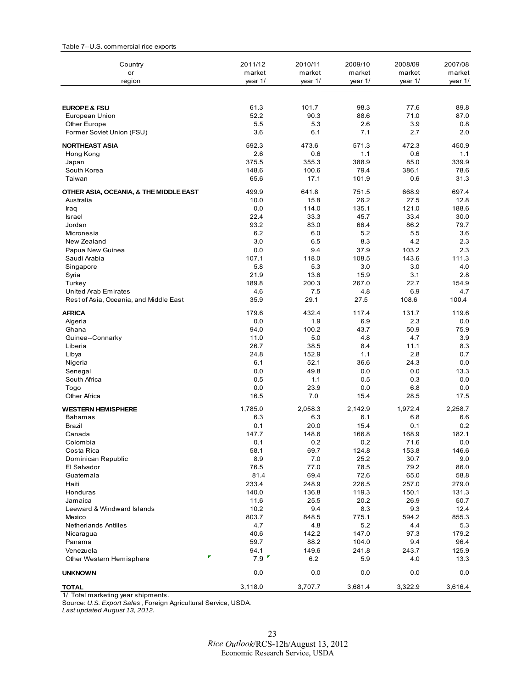| Country                                | 2011/12      | 2010/11      | 2009/10       | 2008/09       | 2007/08      |
|----------------------------------------|--------------|--------------|---------------|---------------|--------------|
| or                                     | market       | market       | market        | market        | market       |
| region                                 | year 1/      | year 1/      | year 1/       | year 1/       | year 1/      |
| <b>EUROPE &amp; FSU</b>                | 61.3         | 101.7        | 98.3          | 77.6          | 89.8         |
| European Union                         | 52.2         | 90.3         | 88.6          | 71.0          | 87.0         |
| Other Europe                           | 5.5          | 5.3          | 2.6           | 3.9           | 0.8          |
| Former Soviet Union (FSU)              | 3.6          | 6.1          | 7.1           | 2.7           | 2.0          |
| <b>NORTHEAST ASIA</b>                  | 592.3        | 473.6        | 571.3         | 472.3         | 450.9        |
| Hong Kong                              | 2.6          | 0.6          | 1.1           | 0.6           | 1.1          |
| Japan                                  | 375.5        | 355.3        | 388.9         | 85.0          | 339.9        |
| South Korea                            | 148.6        | 100.6        | 79.4          | 386.1         | 78.6         |
| Taiwan                                 | 65.6         | 17.1         | 101.9         | 0.6           | 31.3         |
| OTHER ASIA, OCEANIA, & THE MIDDLE EAST | 499.9        | 641.8        | 751.5         | 668.9         | 697.4        |
| Australia                              | 10.0         | 15.8         | 26.2          | 27.5          | 12.8         |
| Iraq                                   | 0.0          | 114.0        | 135.1         | 121.0         | 188.6        |
| <b>Israel</b>                          | 22.4         | 33.3         | 45.7          | 33.4          | 30.0         |
| Jordan                                 | 93.2         | 83.0         | 66.4          | 86.2          | 79.7         |
| Micronesia                             | 6.2          | 6.0          | 5.2           | 5.5           | 3.6          |
| New Zealand                            | 3.0          | 6.5          | 8.3           | 4.2           | 2.3          |
| Papua New Guinea                       | 0.0          | 9.4          | 37.9          | 103.2         | 2.3          |
| Saudi Arabia                           | 107.1<br>5.8 | 118.0<br>5.3 | 108.5<br>3.0  | 143.6<br>3.0  | 111.3<br>4.0 |
| Singapore<br>Syria                     | 21.9         | 13.6         | 15.9          | 3.1           | 2.8          |
| Turkey                                 | 189.8        | 200.3        | 267.0         | 22.7          | 154.9        |
| United Arab Emirates                   | 4.6          | 7.5          | 4.8           | 6.9           | 4.7          |
| Rest of Asia, Oceania, and Middle East | 35.9         | 29.1         | 27.5          | 108.6         | 100.4        |
| <b>AFRICA</b>                          | 179.6        | 432.4        | 117.4         | 131.7         | 119.6        |
| Algeria                                | 0.0          | 1.9          | 6.9           | 2.3           | 0.0          |
| Ghana                                  | 94.0         | 100.2        | 43.7          | 50.9          | 75.9         |
| Guinea--Connarky                       | 11.0         | 5.0          | 4.8           | 4.7           | 3.9          |
| Liberia                                | 26.7         | 38.5         | 8.4           | 11.1          | 8.3          |
| Libya                                  | 24.8         | 152.9        | 1.1           | 2.8           | 0.7          |
| Nigeria                                | 6.1          | 52.1         | 36.6          | 24.3          | 0.0          |
| Senegal                                | 0.0          | 49.8         | 0.0           | 0.0           | 13.3         |
| South Africa                           | 0.5          | 1.1          | 0.5           | 0.3           | 0.0          |
| Togo                                   | 0.0          | 23.9         | 0.0           | 6.8           | 0.0          |
| <b>Other Africa</b>                    | 16.5         | 7.0          | 15.4          | 28.5          | 17.5         |
| <b>WESTERN HEMISPHERE</b>              | 1,785.0      | 2,058.3      | 2,142.9       | 1,972.4       | 2.258.7      |
| Bahamas                                | 6.3          | 6.3          | 6.1           | 6.8           | 6.6          |
| Brazil                                 | 0.1          | 20.0         | 15.4          | 0.1           | 0.2          |
| Canada<br>Colombia                     | 147.7        | 148.6        | 166.8         | 168.9         | 182.1        |
| Costa Rica                             | 0.1          | 0.2          | 0.2           | 71.6          | 0.0          |
|                                        | 58.1<br>8.9  | 69.7<br>7.0  | 124.8<br>25.2 | 153.8<br>30.7 | 146.6<br>9.0 |
| Dominican Republic<br>El Salvador      | 76.5         | 77.0         | 78.5          | 79.2          | 86.0         |
| Guatemala                              | 81.4         | 69.4         | 72.6          | 65.0          | 58.8         |
| Haiti                                  | 233.4        | 248.9        | 226.5         | 257.0         | 279.0        |
| Honduras                               | 140.0        | 136.8        | 119.3         | 150.1         | 131.3        |
| Jamaica                                | 11.6         | 25.5         | 20.2          | 26.9          | 50.7         |
| Leeward & Windward Islands             | 10.2         | 9.4          | 8.3           | 9.3           | 12.4         |
| Mexico                                 | 803.7        | 848.5        | 775.1         | 594.2         | 855.3        |
| Netherlands Antilles                   | 4.7          | 4.8          | 5.2           | 4.4           | 5.3          |
| Nicaragua                              | 40.6         | 142.2        | 147.0         | 97.3          | 179.2        |
| Panama                                 | 59.7         | 88.2         | 104.0         | 9.4           | 96.4         |
| Venezuela                              | 94.1         | 149.6        | 241.8         | 243.7         | 125.9        |
| Other Western Hemisphere               | 7.9          | 6.2          | 5.9           | 4.0           | 13.3         |
| <b>UNKNOWN</b>                         | 0.0          | 0.0          | 0.0           | 0.0           | 0.0          |
| <b>TOTAL</b>                           | 3,118.0      | 3,707.7      | 3,681.4       | 3,322.9       | 3,616.4      |

<span id="page-22-0"></span>Table 7--U.S. commercial rice exports

1/ Total marketing year shipments.

Source: *U.S. Export Sales* , Foreign Agricultural Service, USDA. *Last updated August 13, 2012.*

 23 *Rice Outlook*/RCS-12h/August 13, 2012 Economic Research Service, USDA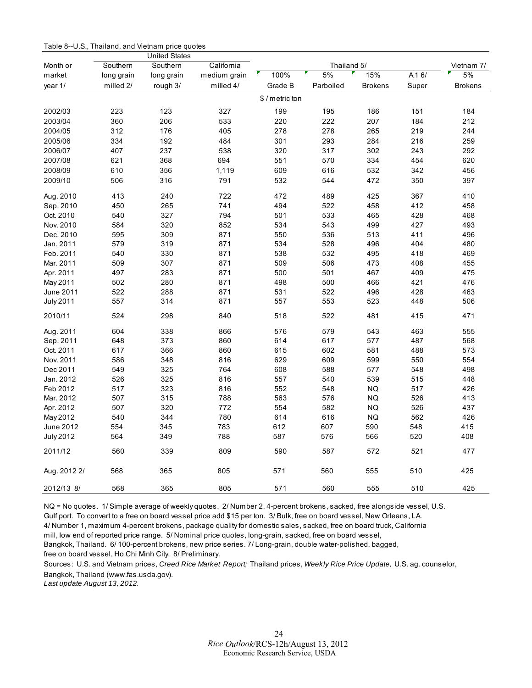<span id="page-23-0"></span>

| Table 8--U.S., Thailand, and Vietnam price quotes |  |  |  |  |
|---------------------------------------------------|--|--|--|--|
|---------------------------------------------------|--|--|--|--|

|                  |            | <b>United States</b> |              |                 |             |                |       |                |
|------------------|------------|----------------------|--------------|-----------------|-------------|----------------|-------|----------------|
| Month or         | Southern   | Southern             | California   |                 | Thailand 5/ |                |       | Vietnam 7/     |
| market           | long grain | long grain           | medium grain | 100%            | 5%          | 15%            | A.16/ | 5%             |
| year 1/          | milled 2/  | rough 3/             | milled 4/    | Grade B         | Parboiled   | <b>Brokens</b> | Super | <b>Brokens</b> |
|                  |            |                      |              | \$ / metric ton |             |                |       |                |
| 2002/03          | 223        | 123                  | 327          | 199             | 195         | 186            | 151   | 184            |
| 2003/04          | 360        | 206                  | 533          | 220             | 222         | 207            | 184   | 212            |
| 2004/05          | 312        | 176                  | 405          | 278             | 278         | 265            | 219   | 244            |
| 2005/06          | 334        | 192                  | 484          | 301             | 293         | 284            | 216   | 259            |
| 2006/07          | 407        | 237                  | 538          | 320             | 317         | 302            | 243   | 292            |
| 2007/08          | 621        | 368                  | 694          | 551             | 570         | 334            | 454   | 620            |
| 2008/09          | 610        | 356                  | 1,119        | 609             | 616         | 532            | 342   | 456            |
| 2009/10          | 506        | 316                  | 791          | 532             | 544         | 472            | 350   | 397            |
| Aug. 2010        | 413        | 240                  | 722          | 472             | 489         | 425            | 367   | 410            |
| Sep. 2010        | 450        | 265                  | 741          | 494             | 522         | 458            | 412   | 458            |
| Oct. 2010        | 540        | 327                  | 794          | 501             | 533         | 465            | 428   | 468            |
| Nov. 2010        | 584        | 320                  | 852          | 534             | 543         | 499            | 427   | 493            |
| Dec. 2010        | 595        | 309                  | 871          | 550             | 536         | 513            | 411   | 496            |
| Jan. 2011        | 579        | 319                  | 871          | 534             | 528         | 496            | 404   | 480            |
| Feb. 2011        | 540        | 330                  | 871          | 538             | 532         | 495            | 418   | 469            |
| Mar. 2011        | 509        | 307                  | 871          | 509             | 506         | 473            | 408   | 455            |
| Apr. 2011        | 497        | 283                  | 871          | 500             | 501         | 467            | 409   | 475            |
| May 2011         | 502        | 280                  | 871          | 498             | 500         | 466            | 421   | 476            |
| June 2011        | 522        | 288                  | 871          | 531             | 522         | 496            | 428   | 463            |
| <b>July 2011</b> | 557        | 314                  | 871          | 557             | 553         | 523            | 448   | 506            |
| 2010/11          | 524        | 298                  | 840          | 518             | 522         | 481            | 415   | 471            |
| Aug. 2011        | 604        | 338                  | 866          | 576             | 579         | 543            | 463   | 555            |
| Sep. 2011        | 648        | 373                  | 860          | 614             | 617         | 577            | 487   | 568            |
| Oct. 2011        | 617        | 366                  | 860          | 615             | 602         | 581            | 488   | 573            |
| Nov. 2011        | 586        | 348                  | 816          | 629             | 609         | 599            | 550   | 554            |
| Dec 2011         | 549        | 325                  | 764          | 608             | 588         | 577            | 548   | 498            |
| Jan. 2012        | 526        | 325                  | 816          | 557             | 540         | 539            | 515   | 448            |
| Feb 2012         | 517        | 323                  | 816          | 552             | 548         | <b>NQ</b>      | 517   | 426            |
| Mar. 2012        | 507        | 315                  | 788          | 563             | 576         | <b>NQ</b>      | 526   | 413            |
| Apr. 2012        | 507        | 320                  | 772          | 554             | 582         | <b>NQ</b>      | 526   | 437            |
| May 2012         | 540        | 344                  | 780          | 614             | 616         | <b>NQ</b>      | 562   | 426            |
| June 2012        | 554        | 345                  | 783          | 612             | 607         | 590            | 548   | 415            |
| <b>July 2012</b> | 564        | 349                  | 788          | 587             | 576         | 566            | 520   | 408            |
| 2011/12          | 560        | 339                  | 809          | 590             | 587         | 572            | 521   | 477            |
| Aug. 2012 2/     | 568        | 365                  | 805          | 571             | 560         | 555            | 510   | 425            |
| 2012/13 8/       | 568        | 365                  | 805          | 571             | 560         | 555            | 510   | 425            |

NQ = No quotes. 1/ Simple average of weekly quotes. 2/ Number 2, 4-percent brokens, sacked, free alongside vessel, U.S. Gulf port. To convert to a free on board vessel price add \$15 per ton. 3/ Bulk, free on board vessel, New Orleans, LA.

4/ Number 1, maximum 4-percent brokens, package quality for domestic sales, sacked, free on board truck, California

mill, low end of reported price range. 5/ Nominal price quotes, long-grain, sacked, free on board vessel,

Bangkok, Thailand. 6/ 100-percent brokens, new price series. 7/ Long-grain, double water-polished, bagged,

free on board vessel, Ho Chi Minh City. 8/ Preliminary.

Sources: U.S. and Vietnam prices, *Creed Rice Market Report;* Thailand prices, *Weekly Rice Price Update,* U.S. ag. counselor, Bangkok, Thailand (www.fas.usda.gov).

*Last update August 13, 2012.*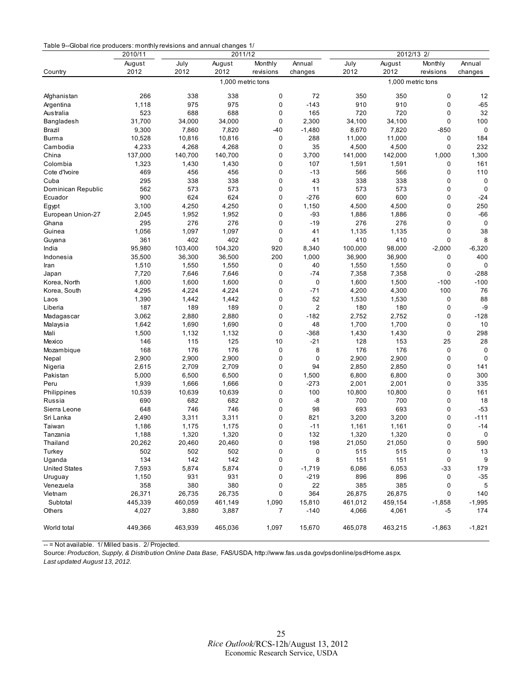<span id="page-24-0"></span>

|                      | 2010/11 | 2011/12 |                   |             |                | 2012/13<br>2/     |         |           |             |  |
|----------------------|---------|---------|-------------------|-------------|----------------|-------------------|---------|-----------|-------------|--|
|                      | August  | July    | August            | Monthly     | Annual         | July              | August  | Monthly   | Annual      |  |
| Country              | 2012    | 2012    | 2012              | revisions   | changes        | 2012              | 2012    | revisions | changes     |  |
|                      |         |         | 1,000 metric tons |             |                | 1,000 metric tons |         |           |             |  |
|                      |         |         |                   |             |                |                   |         |           |             |  |
| Afghanistan          | 266     | 338     | 338               | 0           | 72             | 350               | 350     | 0         | 12          |  |
| Argentina            | 1,118   | 975     | 975               | 0           | $-143$         | 910               | 910     | 0         | $-65$       |  |
| Australia            | 523     | 688     | 688               | 0           | 165            | 720               | 720     | 0         | 32          |  |
| Bangladesh           | 31,700  | 34,000  | 34,000            | 0           | 2,300          | 34,100            | 34,100  | 0         | 100         |  |
| Brazil               | 9,300   | 7,860   | 7,820             | -40         | $-1,480$       | 8,670             | 7,820   | -850      | 0           |  |
| Burma                | 10,528  | 10,816  | 10,816            | 0           | 288            | 11,000            | 11,000  | 0         | 184         |  |
| Cambodia             | 4,233   | 4,268   | 4,268             | 0           | 35             | 4,500             | 4,500   | 0         | 232         |  |
| China                | 137,000 | 140,700 | 140,700           | 0           | 3,700          | 141,000           | 142,000 | 1,000     | 1,300       |  |
| Colombia             | 1,323   | 1,430   | 1,430             | 0           | 107            | 1,591             | 1,591   | 0         | 161         |  |
| Cote d'Ivoire        | 469     | 456     | 456               | 0           | $-13$          | 566               | 566     | 0         | 110         |  |
| Cuba                 | 295     | 338     | 338               | 0           | 43             | 338               | 338     | 0         | 0           |  |
| Dominican Republic   | 562     | 573     | 573               | 0           | 11             | 573               | 573     | 0         | $\mathbf 0$ |  |
| Ecuador              | 900     | 624     | 624               | 0           | $-276$         | 600               | 600     | 0         | $-24$       |  |
| Egypt                | 3,100   | 4,250   | 4,250             | 0           | 1,150          | 4,500             | 4,500   | 0         | 250         |  |
| European Union-27    | 2,045   | 1,952   | 1,952             | 0           | -93            | 1,886             | 1,886   | 0         | $-66$       |  |
| Ghana                | 295     | 276     | 276               | 0           | $-19$          | 276               | 276     | 0         | 0           |  |
| Guinea               | 1,056   | 1,097   | 1,097             | 0           | 41             | 1,135             | 1,135   | 0         | 38          |  |
| Guyana               | 361     | 402     | 402               | $\mathbf 0$ | 41             | 410               | 410     | 0         | 8           |  |
| India                | 95,980  | 103,400 | 104,320           | 920         | 8,340          | 100,000           | 98,000  | $-2,000$  | $-6,320$    |  |
| Indonesia            | 35,500  | 36,300  | 36,500            | 200         | 1,000          | 36,900            | 36,900  | 0         | 400         |  |
| Iran                 | 1,510   | 1,550   | 1,550             | 0           | 40             | 1,550             | 1,550   | 0         | 0           |  |
| Japan                | 7,720   | 7,646   | 7,646             | 0           | -74            | 7,358             | 7,358   | 0         | -288        |  |
| Korea, North         | 1,600   | 1,600   | 1,600             | 0           | 0              | 1,600             | 1,500   | $-100$    | $-100$      |  |
| Korea, South         | 4,295   | 4,224   | 4,224             | 0           | $-71$          | 4,200             | 4,300   | 100       | 76          |  |
| Laos                 | 1,390   | 1,442   | 1,442             | 0           | 52             | 1,530             | 1,530   | 0         | 88          |  |
| Liberia              | 187     | 189     | 189               | 0           | $\overline{2}$ | 180               | 180     | 0         | -9          |  |
| Madagascar           | 3,062   | 2,880   | 2,880             | 0           | $-182$         | 2,752             | 2,752   | 0         | $-128$      |  |
| Malaysia             | 1,642   | 1,690   | 1,690             | 0           | 48             | 1,700             | 1,700   | 0         | 10          |  |
| Mali                 | 1,500   | 1,132   | 1,132             | 0           | $-368$         | 1,430             | 1,430   | 0         | 298         |  |
| Mexico               | 146     | 115     | 125               | 10          | $-21$          | 128               | 153     | 25        | 28          |  |
| Mozambique           | 168     | 176     | 176               | 0           | 8              | 176               | 176     | 0         | 0           |  |
| Nepal                | 2,900   | 2,900   | 2,900             | 0           | 0              | 2,900             | 2,900   | 0         | $\mathbf 0$ |  |
| Nigeria              | 2,615   | 2,709   | 2,709             | 0           | 94             | 2,850             | 2,850   | 0         | 141         |  |
| Pakistan             | 5,000   | 6,500   | 6,500             | 0           | 1,500          | 6,800             | 6,800   | 0         | 300         |  |
| Peru                 | 1,939   | 1,666   | 1,666             | 0           | $-273$         | 2,001             | 2,001   | 0         | 335         |  |
| Philippines          | 10,539  | 10,639  | 10,639            | 0           | 100            | 10,800            | 10,800  | 0         | 161         |  |
| Russia               | 690     | 682     | 682               | 0           | -8             | 700               | 700     | 0         | 18          |  |
|                      | 648     | 746     | 746               | 0           | 98             | 693               | 693     | 0         | $-53$       |  |
| Sierra Leone         |         |         |                   |             |                |                   |         |           |             |  |
| Sri Lanka            | 2,490   | 3,311   | 3,311             | 0           | 821            | 3,200             | 3,200   | 0         | $-111$      |  |
| Taiwan               | 1,186   | 1,175   | 1,175             | 0           | $-11$          | 1,161             | 1,161   | 0         | $-14$       |  |
| Tanzania             | 1,188   | 1,320   | 1,320             | 0           | 132            | 1,320             | 1,320   | 0         | $\mathbf 0$ |  |
| Thailand             | 20,262  | 20,460  | 20,460            | 0           | 198            | 21,050            | 21,050  | 0         | 590         |  |
| Turkey               | 502     | 502     | 502               | 0           | 0              | 515               | 515     | 0         | 13          |  |
| Uganda               | 134     | 142     | 142               | 0           | 8              | 151               | 151     | 0         | 9           |  |
| <b>United States</b> | 7,593   | 5,874   | 5,874             | 0           | $-1,719$       | 6,086             | 6,053   | -33       | 179         |  |
| Uruguay              | 1,150   | 931     | 931               | 0           | $-219$         | 896               | 896     | 0         | $-35$       |  |
| Venezuela            | 358     | 380     | 380               | 0           | 22             | 385               | 385     | 0         | 5           |  |
| Vietnam              | 26,371  | 26,735  | 26,735            | 0           | 364            | 26,875            | 26,875  | 0         | 140         |  |
| Subtotal             | 445,339 | 460,059 | 461,149           | 1,090       | 15,810         | 461,012           | 459,154 | $-1,858$  | $-1,995$    |  |
| Others               | 4,027   | 3,880   | 3,887             | 7           | $-140$         | 4,066             | 4,061   | -5        | 174         |  |
| World total          | 449,366 | 463,939 | 465,036           | 1,097       | 15,670         | 465,078           | 463,215 | $-1,863$  | $-1,821$    |  |

-- = Not available. 1/ Milled basis. 2/ Projected.

Source: *Production, Supply, & Distribution Online Data Base,* FAS/USDA, http://www.fas.usda.gov/psdonline/psdHome.aspx.

*Last updated August 13, 2012.*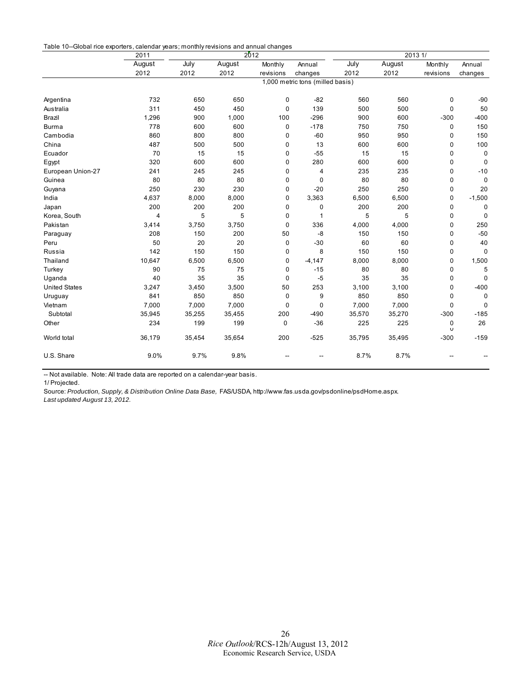<span id="page-25-0"></span>

| Table 10--Global rice exporters, calendar years; monthly revisions and annual changes |  |  |  |
|---------------------------------------------------------------------------------------|--|--|--|
|---------------------------------------------------------------------------------------|--|--|--|

|                      | 2011   |                                  | 2012   |             |          |        | 2013 1/ |           |             |  |
|----------------------|--------|----------------------------------|--------|-------------|----------|--------|---------|-----------|-------------|--|
|                      | August | July                             | August | Monthly     | Annual   | July   | August  | Monthly   | Annual      |  |
|                      | 2012   | 2012                             | 2012   | revisions   | changes  | 2012   | 2012    | revisions | changes     |  |
|                      |        | 1,000 metric tons (milled basis) |        |             |          |        |         |           |             |  |
|                      |        |                                  |        |             |          |        |         |           |             |  |
| Argentina            | 732    | 650                              | 650    | 0           | $-82$    | 560    | 560     | 0         | $-90$       |  |
| Australia            | 311    | 450                              | 450    | 0           | 139      | 500    | 500     | 0         | 50          |  |
| Brazil               | 1,296  | 900                              | 1,000  | 100         | $-296$   | 900    | 600     | $-300$    | $-400$      |  |
| <b>Burma</b>         | 778    | 600                              | 600    | 0           | $-178$   | 750    | 750     | 0         | 150         |  |
| Cambodia             | 860    | 800                              | 800    | 0           | $-60$    | 950    | 950     | 0         | 150         |  |
| China                | 487    | 500                              | 500    | 0           | 13       | 600    | 600     | 0         | 100         |  |
| Ecuador              | 70     | 15                               | 15     | 0           | $-55$    | 15     | 15      | 0         | 0           |  |
| Egypt                | 320    | 600                              | 600    | 0           | 280      | 600    | 600     | 0         | $\mathbf 0$ |  |
| European Union-27    | 241    | 245                              | 245    | 0           | 4        | 235    | 235     | 0         | $-10$       |  |
| Guinea               | 80     | 80                               | 80     | 0           | 0        | 80     | 80      | 0         | $\Omega$    |  |
| Guyana               | 250    | 230                              | 230    | 0           | $-20$    | 250    | 250     | 0         | 20          |  |
| India                | 4,637  | 8,000                            | 8,000  | 0           | 3,363    | 6,500  | 6,500   | 0         | $-1,500$    |  |
| Japan                | 200    | 200                              | 200    | 0           | 0        | 200    | 200     | 0         | 0           |  |
| Korea, South         | 4      | 5                                | 5      | 0           | 1        | 5      | 5       | 0         | 0           |  |
| Pakistan             | 3,414  | 3,750                            | 3,750  | 0           | 336      | 4,000  | 4,000   | 0         | 250         |  |
| Paraguay             | 208    | 150                              | 200    | 50          | -8       | 150    | 150     | 0         | $-50$       |  |
| Peru                 | 50     | 20                               | 20     | 0           | $-30$    | 60     | 60      | 0         | 40          |  |
| Russia               | 142    | 150                              | 150    | 0           | 8        | 150    | 150     | 0         | 0           |  |
| Thailand             | 10,647 | 6,500                            | 6,500  | 0           | $-4,147$ | 8,000  | 8,000   | 0         | 1,500       |  |
| Turkey               | 90     | 75                               | 75     | 0           | $-15$    | 80     | 80      | 0         | 5           |  |
| Uganda               | 40     | 35                               | 35     | 0           | $-5$     | 35     | 35      | 0         | $\mathbf 0$ |  |
| <b>United States</b> | 3,247  | 3,450                            | 3,500  | 50          | 253      | 3,100  | 3,100   | 0         | $-400$      |  |
| Uruguay              | 841    | 850                              | 850    | $\mathbf 0$ | 9        | 850    | 850     | 0         | $\mathbf 0$ |  |
| Vietnam              | 7,000  | 7,000                            | 7,000  | 0           | 0        | 7,000  | 7,000   | 0         | $\mathbf 0$ |  |
| Subtotal             | 35,945 | 35,255                           | 35,455 | 200         | $-490$   | 35,570 | 35,270  | $-300$    | $-185$      |  |
| Other                | 234    | 199                              | 199    | $\mathbf 0$ | $-36$    | 225    | 225     | 0         | 26          |  |
|                      |        |                                  |        |             |          |        |         | U         |             |  |
| World total          | 36,179 | 35,454                           | 35,654 | 200         | $-525$   | 35,795 | 35,495  | $-300$    | $-159$      |  |
| U.S. Share           | 9.0%   | 9.7%                             | 9.8%   |             |          | 8.7%   | 8.7%    |           |             |  |

-- Not available. Note: All trade data are reported on a calendar-year basis.

1/ Projected.

Source: *Production, Supply, & Distribution Online Data Base,* FAS/USDA, http://www.fas.usda.gov/psdonline/psdHome.aspx. *Last updated August 13, 2012.*